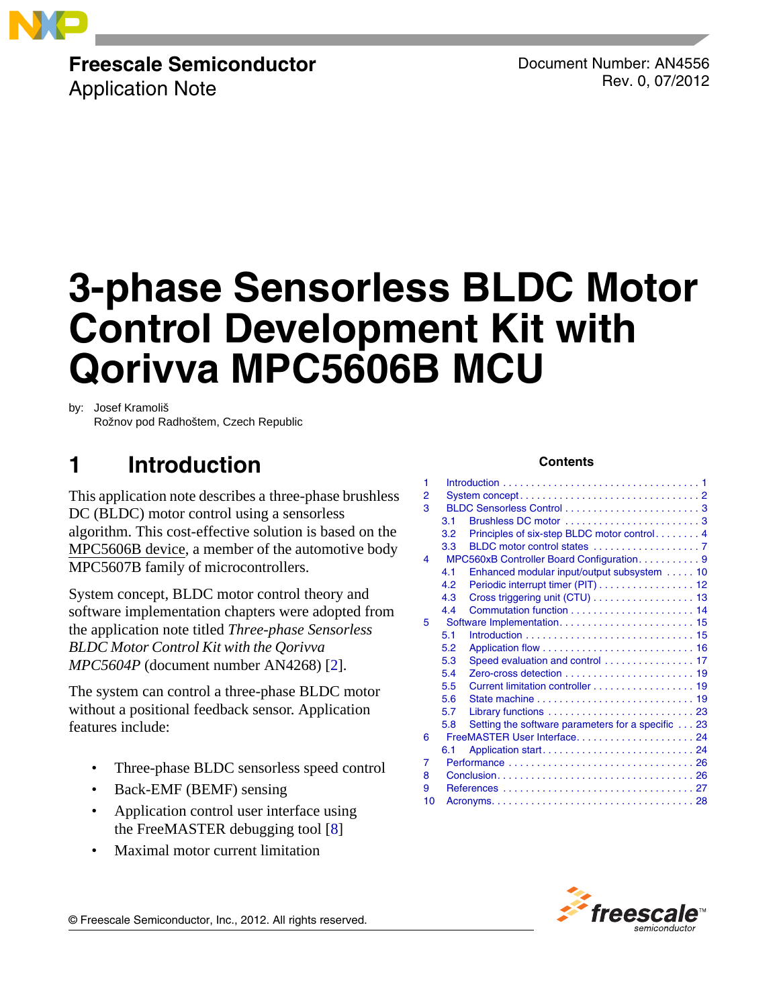

# **Freescale Semiconductor**

Application Note

Document Number: AN4556 Rev. 0, 07/2012

# **3-phase Sensorless BLDC Motor Control Development Kit with Qorivva MPC5606B MCU**

by: Josef Kramoliš

Rožnov pod Radhoštem, Czech Republic

# <span id="page-0-0"></span>**1 Introduction**

This application note describes a three-phase brushless DC (BLDC) motor control using a sensorless algorithm. This cost-effective solution is based on the [MPC5606B device,](https://www.nxp.com/products/processors-and-microcontrollers/power-architecture/mpc5xxx-microcontrollers/ultra-reliable-mpc56xx-mcus/ultra-reliable-mpc56xb-mcu-for-automotive-industrial-general-purpose:MPC560xB?utm_medium=AN-2021) a member of the automotive body MPC5607B family of microcontrollers.

System concept, BLDC motor control theory and software implementation chapters were adopted from the application note titled *Three-phase Sensorless BLDC Motor Control Kit with the Qorivva MPC5604P* (document number AN4268) [[2\]](#page-26-1).

The system can control a three-phase BLDC motor without a positional feedback sensor. Application features include:

- Three-phase BLDC sensorless speed control
- Back-EMF (BEMF) sensing
- Application control user interface using the FreeMASTER debugging tool [[8\]](#page-26-2)
- Maximal motor current limitation

#### **Contents**

| 1  |     |                                                   |  |  |  |  |
|----|-----|---------------------------------------------------|--|--|--|--|
| 2  |     |                                                   |  |  |  |  |
| 3  |     | BLDC Sensorless Control  3                        |  |  |  |  |
|    | 3.1 | Brushless DC motor 3                              |  |  |  |  |
|    | 3.2 | Principles of six-step BLDC motor control 4       |  |  |  |  |
|    | 3.3 |                                                   |  |  |  |  |
| 4  |     | MPC560xB Controller Board Configuration. 9        |  |  |  |  |
|    | 4.1 | Enhanced modular input/output subsystem  10       |  |  |  |  |
|    | 4.2 | Periodic interrupt timer (PIT) 12                 |  |  |  |  |
|    | 4.3 | Cross triggering unit (CTU) 13                    |  |  |  |  |
|    | 4.4 |                                                   |  |  |  |  |
| 5  |     |                                                   |  |  |  |  |
|    | 5.1 |                                                   |  |  |  |  |
|    | 5.2 |                                                   |  |  |  |  |
|    | 5.3 | Speed evaluation and control  17                  |  |  |  |  |
|    | 5.4 |                                                   |  |  |  |  |
|    | 5.5 | Current limitation controller 19                  |  |  |  |  |
|    | 5.6 |                                                   |  |  |  |  |
|    | 5.7 |                                                   |  |  |  |  |
|    | 5.8 | Setting the software parameters for a specific 23 |  |  |  |  |
| 6  |     | FreeMASTER User Interface 24                      |  |  |  |  |
|    | 6.1 | Application start 24                              |  |  |  |  |
| 7  |     |                                                   |  |  |  |  |
| 8  |     |                                                   |  |  |  |  |
| 9  |     |                                                   |  |  |  |  |
| 10 |     |                                                   |  |  |  |  |



© Freescale Semiconductor, Inc., 2012. All rights reserved.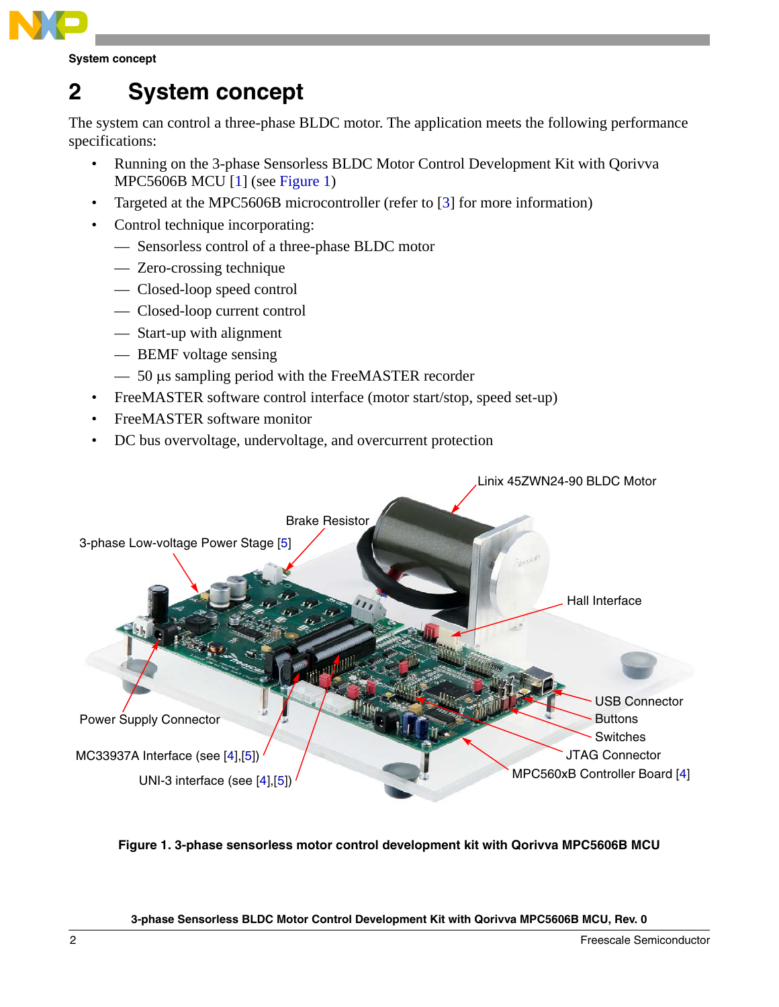

**System concept**

# <span id="page-1-0"></span>**2 System concept**

The system can control a three-phase BLDC motor. The application meets the following performance specifications:

- Running on the 3-phase Sensorless BLDC Motor Control Development Kit with Qorivva MPC5606B MCU [[1\]](#page-26-6) (see [Figure 1](#page-1-1))
- Targeted at the MPC5606B microcontroller (refer to [[3\]](#page-26-5) for more information)
- Control technique incorporating:
	- Sensorless control of a three-phase BLDC motor
	- Zero-crossing technique
	- Closed-loop speed control
	- Closed-loop current control
	- Start-up with alignment
	- BEMF voltage sensing
	- $-50$  µs sampling period with the FreeMASTER recorder
- FreeMASTER software control interface (motor start/stop, speed set-up)
- FreeMASTER software monitor
- DC bus overvoltage, undervoltage, and overcurrent protection



<span id="page-1-1"></span>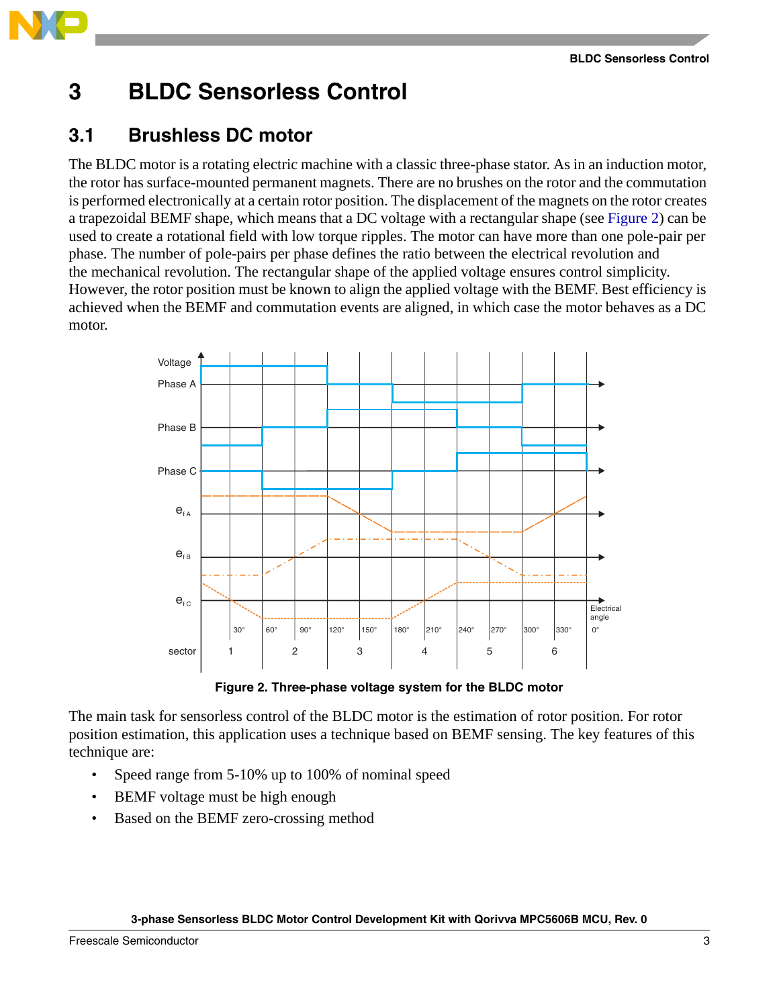

### <span id="page-2-0"></span>**3 BLDC Sensorless Control**

#### <span id="page-2-1"></span>**3.1 Brushless DC motor**

The BLDC motor is a rotating electric machine with a classic three-phase stator. As in an induction motor, the rotor has surface-mounted permanent magnets. There are no brushes on the rotor and the commutation is performed electronically at a certain rotor position. The displacement of the magnets on the rotor creates a trapezoidal BEMF shape, which means that a DC voltage with a rectangular shape (see [Figure 2](#page-2-2)) can be used to create a rotational field with low torque ripples. The motor can have more than one pole-pair per phase. The number of pole-pairs per phase defines the ratio between the electrical revolution and the mechanical revolution. The rectangular shape of the applied voltage ensures control simplicity. However, the rotor position must be known to align the applied voltage with the BEMF. Best efficiency is achieved when the BEMF and commutation events are aligned, in which case the motor behaves as a DC motor.



**Figure 2. Three-phase voltage system for the BLDC motor**

<span id="page-2-2"></span>The main task for sensorless control of the BLDC motor is the estimation of rotor position. For rotor position estimation, this application uses a technique based on BEMF sensing. The key features of this technique are:

- Speed range from 5-10% up to 100% of nominal speed
- BEMF voltage must be high enough
- Based on the BEMF zero-crossing method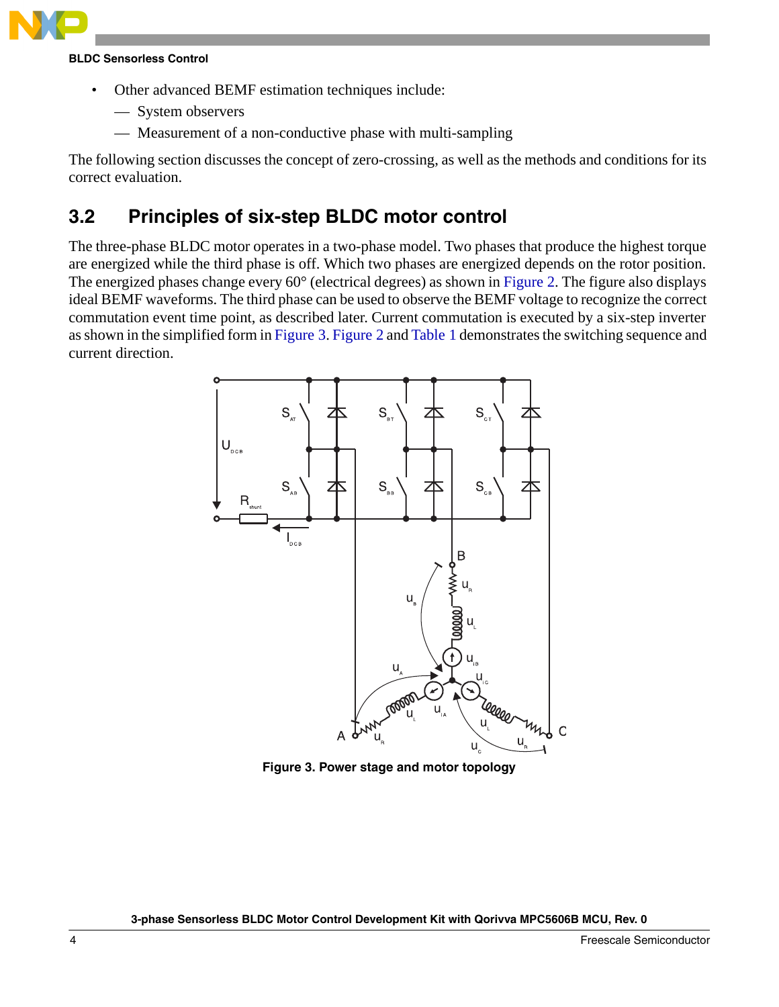

#### **BLDC Sensorless Control**

- Other advanced BEMF estimation techniques include:
	- System observers
	- Measurement of a non-conductive phase with multi-sampling

The following section discusses the concept of zero-crossing, as well as the methods and conditions for its correct evaluation.

#### <span id="page-3-0"></span>**3.2 Principles of six-step BLDC motor control**

The three-phase BLDC motor operates in a two-phase model. Two phases that produce the highest torque are energized while the third phase is off. Which two phases are energized depends on the rotor position. The energized phases change every 60° (electrical degrees) as shown in [Figure 2](#page-2-2). The figure also displays ideal BEMF waveforms. The third phase can be used to observe the BEMF voltage to recognize the correct commutation event time point, as described later. Current commutation is executed by a six-step inverter as shown in the simplified form in [Figure 3](#page-3-1). [Figure 2](#page-2-2) and [Table 1](#page-4-0) demonstrates the switching sequence and current direction.



<span id="page-3-1"></span>**Figure 3. Power stage and motor topology**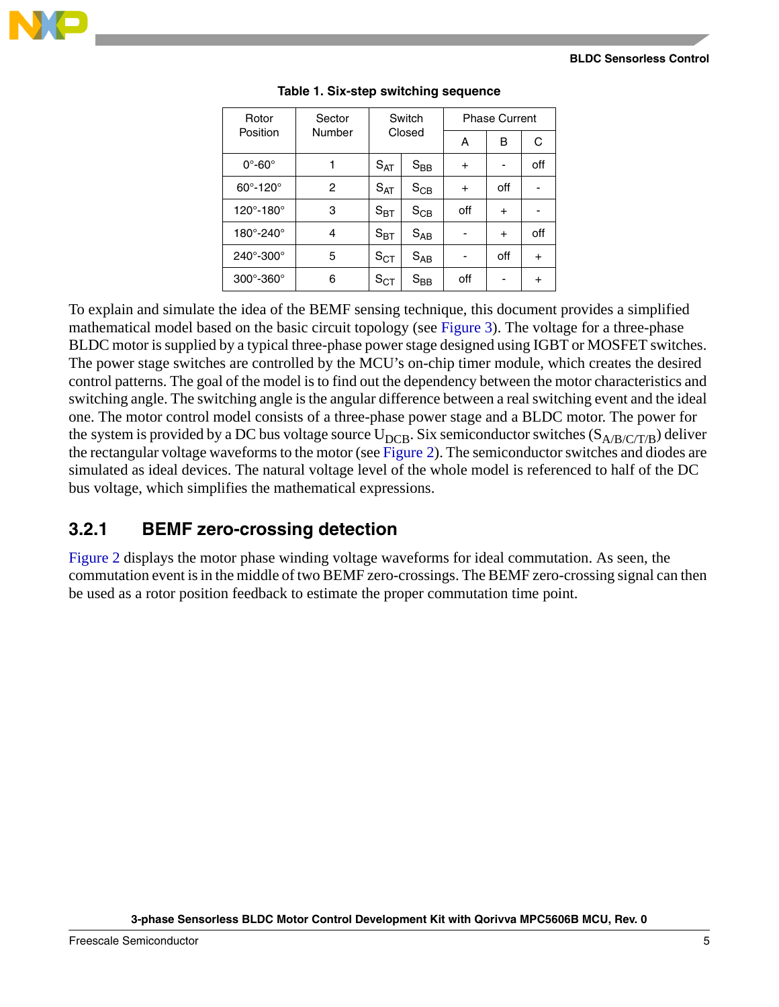<span id="page-4-0"></span>

| Rotor                  | Sector | Switch<br>Closed  |                            | <b>Phase Current</b> |           |           |
|------------------------|--------|-------------------|----------------------------|----------------------|-----------|-----------|
| Position               | Number |                   |                            | А                    | в         | C         |
| $0^\circ$ -60 $^\circ$ |        | $S_{AT}$          | $S_{BB}$                   | $\ddot{}$            |           | off       |
| $60^\circ - 120^\circ$ | 2      | $S_{AT}$          | $S_{CB}$                   | $\ddot{}$            | off       |           |
| 120°-180°              | 3      | $S_{\mathsf{BT}}$ | $S_{CB}$                   | off                  | $\ddot{}$ |           |
| 180°-240°              | 4      | $S_{\text{BT}}$   | $S_{AB}$                   |                      | $\ddot{}$ | off       |
| 240°-300°              | 5      | $S_{CT}$          | $S_{AB}$                   |                      | off       | $\ddot{}$ |
| 300°-360°              | 6      | $S_{CT}$          | $\mathrm{S}_{\mathsf{BB}}$ | off                  |           | $\div$    |

|  |  |  | Table 1. Six-step switching sequence |  |
|--|--|--|--------------------------------------|--|
|--|--|--|--------------------------------------|--|

To explain and simulate the idea of the BEMF sensing technique, this document provides a simplified mathematical model based on the basic circuit topology (see [Figure 3](#page-3-1)). The voltage for a three-phase BLDC motor is supplied by a typical three-phase power stage designed using IGBT or MOSFET switches. The power stage switches are controlled by the MCU's on-chip timer module, which creates the desired control patterns. The goal of the model is to find out the dependency between the motor characteristics and switching angle. The switching angle is the angular difference between a real switching event and the ideal one. The motor control model consists of a three-phase power stage and a BLDC motor. The power for the system is provided by a DC bus voltage source  $U_{DCB}$ . Six semiconductor switches ( $S_{A/B/C/T/B}$ ) deliver the rectangular voltage waveforms to the motor (see [Figure 2](#page-2-2)). The semiconductor switches and diodes are simulated as ideal devices. The natural voltage level of the whole model is referenced to half of the DC bus voltage, which simplifies the mathematical expressions.

#### **3.2.1 BEMF zero-crossing detection**

[Figure 2](#page-2-2) displays the motor phase winding voltage waveforms for ideal commutation. As seen, the commutation event is in the middle of two BEMF zero-crossings. The BEMF zero-crossing signal can then be used as a rotor position feedback to estimate the proper commutation time point.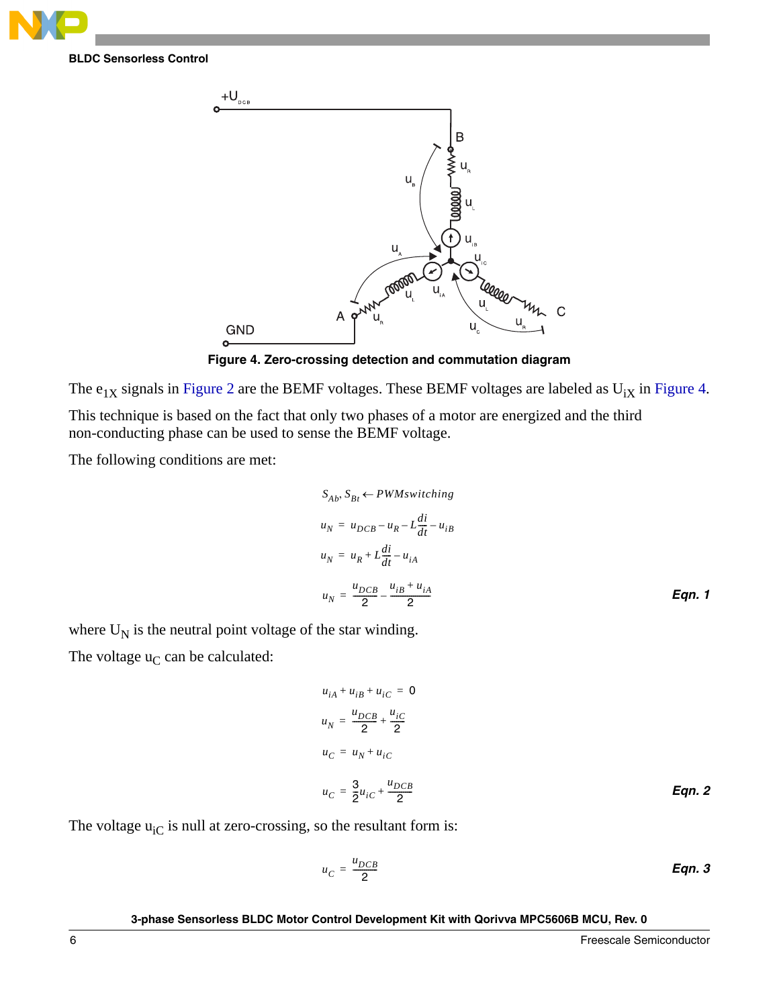

**BLDC Sensorless Control**



**Figure 4. Zero-crossing detection and commutation diagram**

<span id="page-5-0"></span>The  $e_{1X}$  signals in [Figure 2](#page-2-2) are the BEMF voltages. These BEMF voltages are labeled as  $U_{iX}$  in [Figure 4.](#page-5-0)

This technique is based on the fact that only two phases of a motor are energized and the third non-conducting phase can be used to sense the BEMF voltage.

The following conditions are met:

$$
S_{Ab}, S_{Bt} \leftarrow PWM switching
$$
  
\n
$$
u_N = u_{DCB} - u_R - L\frac{di}{dt} - u_{iB}
$$
  
\n
$$
u_N = u_R + L\frac{di}{dt} - u_{iA}
$$
  
\n
$$
u_N = \frac{u_{DCB}}{2} - \frac{u_{iB} + u_{iA}}{2}
$$
  
\nEqn. 1

where  $\mathrm{U_{N}}$  is the neutral point voltage of the star winding.

The voltage  $u_C$  can be calculated:

$$
u_{iA} + u_{iB} + u_{iC} = 0
$$
  
\n
$$
u_N = \frac{u_{DCB}}{2} + \frac{u_{iC}}{2}
$$
  
\n
$$
u_C = u_N + u_{iC}
$$
  
\n
$$
u_C = \frac{3}{2}u_{iC} + \frac{u_{DCB}}{2}
$$
  
\nEqn. 2

The voltage  $u_{iC}$  is null at zero-crossing, so the resultant form is:

$$
u_C = \frac{u_{DCB}}{2}
$$
 **Eqn. 3**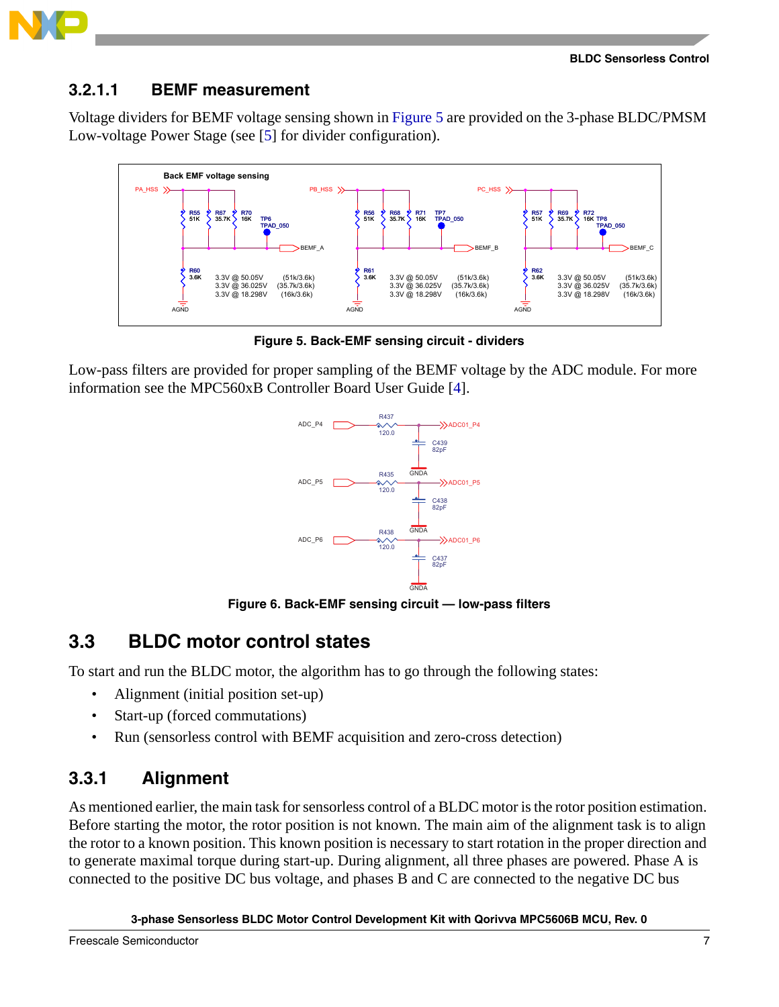

#### **3.2.1.1 BEMF measurement**

Voltage dividers for BEMF voltage sensing shown in [Figure 5](#page-6-1) are provided on the 3-phase BLDC/PMSM Low-voltage Power Stage (see [[5\]](#page-26-3) for divider configuration).



**Figure 5. Back-EMF sensing circuit - dividers**

<span id="page-6-1"></span>Low-pass filters are provided for proper sampling of the BEMF voltage by the ADC module. For more information see the MPC560xB Controller Board User Guide [\[4](#page-26-4)].



**Figure 6. Back-EMF sensing circuit — low-pass filters**

#### <span id="page-6-0"></span>**3.3 BLDC motor control states**

To start and run the BLDC motor, the algorithm has to go through the following states:

- Alignment (initial position set-up)
- Start-up (forced commutations)
- Run (sensorless control with BEMF acquisition and zero-cross detection)

#### <span id="page-6-2"></span>**3.3.1 Alignment**

As mentioned earlier, the main task for sensorless control of a BLDC motor is the rotor position estimation. Before starting the motor, the rotor position is not known. The main aim of the alignment task is to align the rotor to a known position. This known position is necessary to start rotation in the proper direction and to generate maximal torque during start-up. During alignment, all three phases are powered. Phase A is connected to the positive DC bus voltage, and phases B and C are connected to the negative DC bus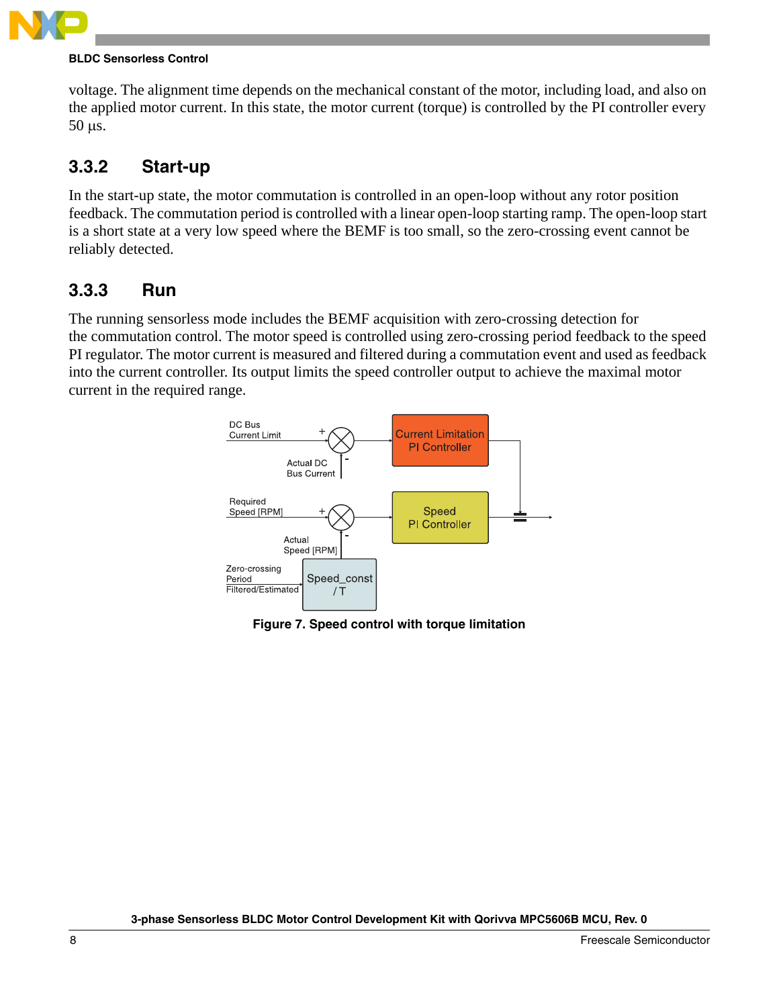

#### **BLDC Sensorless Control**

voltage. The alignment time depends on the mechanical constant of the motor, including load, and also on the applied motor current. In this state, the motor current (torque) is controlled by the PI controller every  $50 \mu s$ .

#### <span id="page-7-0"></span>**3.3.2 Start-up**

In the start-up state, the motor commutation is controlled in an open-loop without any rotor position feedback. The commutation period is controlled with a linear open-loop starting ramp. The open-loop start is a short state at a very low speed where the BEMF is too small, so the zero-crossing event cannot be reliably detected.

#### <span id="page-7-1"></span>**3.3.3 Run**

The running sensorless mode includes the BEMF acquisition with zero-crossing detection for the commutation control. The motor speed is controlled using zero-crossing period feedback to the speed PI regulator. The motor current is measured and filtered during a commutation event and used as feedback into the current controller. Its output limits the speed controller output to achieve the maximal motor current in the required range.



**Figure 7. Speed control with torque limitation**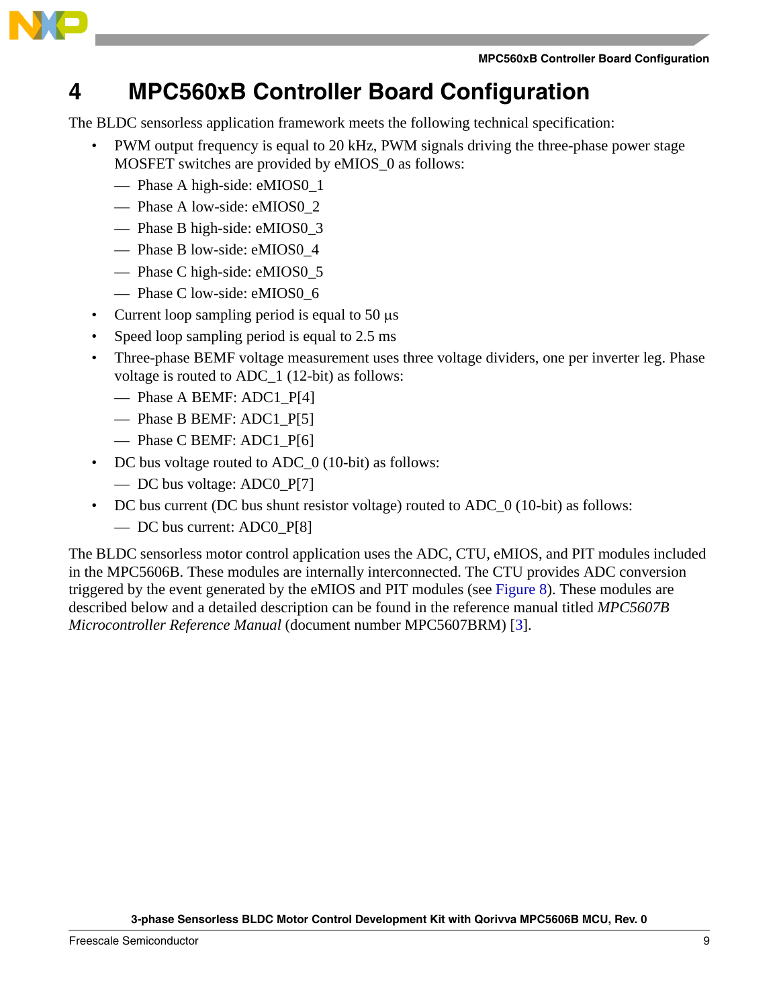



### <span id="page-8-0"></span>**4 MPC560xB Controller Board Configuration**

The BLDC sensorless application framework meets the following technical specification:

- PWM output frequency is equal to 20 kHz, PWM signals driving the three-phase power stage MOSFET switches are provided by eMIOS\_0 as follows:
	- Phase A high-side: eMIOS0\_1
	- Phase A low-side: eMIOS0\_2
	- Phase B high-side: eMIOS0\_3
	- Phase B low-side: eMIOS0\_4
	- Phase C high-side: eMIOS0\_5
	- Phase C low-side: eMIOS0\_6
- Current loop sampling period is equal to 50  $\mu$ s
- Speed loop sampling period is equal to 2.5 ms
- Three-phase BEMF voltage measurement uses three voltage dividers, one per inverter leg. Phase voltage is routed to ADC\_1 (12-bit) as follows:
	- Phase A BEMF: ADC1\_P[4]
	- Phase B BEMF: ADC1\_P[5]
	- Phase C BEMF: ADC1\_P[6]
- DC bus voltage routed to ADC 0 (10-bit) as follows:
	- DC bus voltage: ADC0\_P[7]
- DC bus current (DC bus shunt resistor voltage) routed to ADC  $\,0\,(10\text{-bit})$  as follows:
	- DC bus current: ADC0\_P[8]

The BLDC sensorless motor control application uses the ADC, CTU, eMIOS, and PIT modules included in the MPC5606B. These modules are internally interconnected. The CTU provides ADC conversion triggered by the event generated by the eMIOS and PIT modules (see [Figure 8](#page-9-1)). These modules are described below and a detailed description can be found in the reference manual titled *MPC5607B Microcontroller Reference Manual* (document number MPC5607BRM) [\[3](#page-26-5)].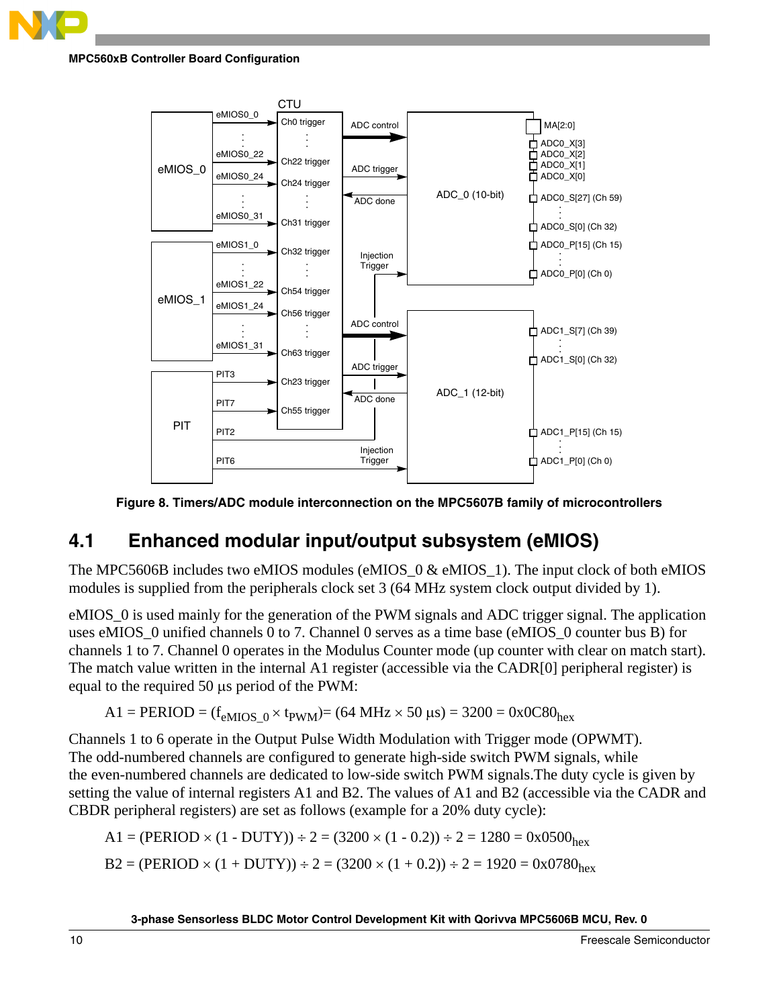**MPC560xB Controller Board Configuration**



**Figure 8. Timers/ADC module interconnection on the MPC5607B family of microcontrollers**

### <span id="page-9-1"></span><span id="page-9-0"></span>**4.1 Enhanced modular input/output subsystem (eMIOS)**

The MPC5606B includes two eMIOS modules (eMIOS  $\overline{0}$  & eMIOS  $\overline{1}$ ). The input clock of both eMIOS modules is supplied from the peripherals clock set 3 (64 MHz system clock output divided by 1).

eMIOS\_0 is used mainly for the generation of the PWM signals and ADC trigger signal. The application uses eMIOS\_0 unified channels 0 to 7. Channel 0 serves as a time base (eMIOS\_0 counter bus B) for channels 1 to 7. Channel 0 operates in the Modulus Counter mode (up counter with clear on match start). The match value written in the internal A1 register (accessible via the CADR[0] peripheral register) is equal to the required  $50 \mu s$  period of the PWM:

$$
A1 = PERIOD = (f_{eMIOS_0} \times t_{PWM}) = (64 MHz \times 50 \mu s) = 3200 = 0x0C80_{hex}
$$

Channels 1 to 6 operate in the Output Pulse Width Modulation with Trigger mode (OPWMT). The odd-numbered channels are configured to generate high-side switch PWM signals, while the even-numbered channels are dedicated to low-side switch PWM signals.The duty cycle is given by setting the value of internal registers A1 and B2. The values of A1 and B2 (accessible via the CADR and CBDR peripheral registers) are set as follows (example for a 20% duty cycle):

$$
A1 = (PERIOD \times (1 - DUTY)) \div 2 = (3200 \times (1 - 0.2)) \div 2 = 1280 = 0x0500_{hex}
$$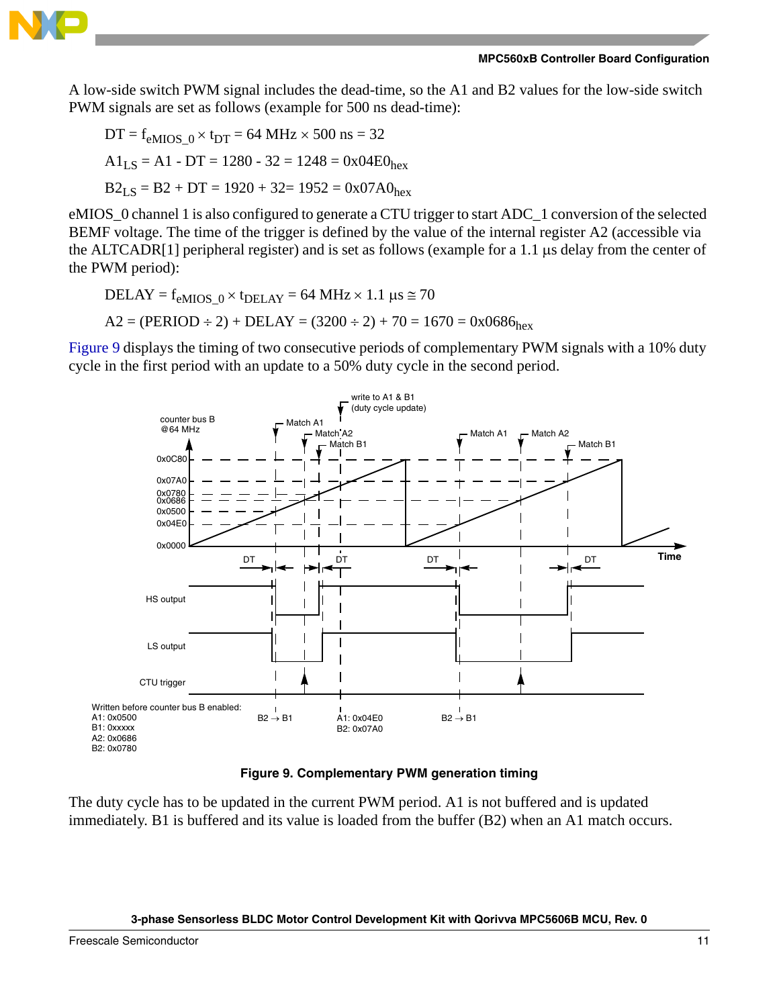



A low-side switch PWM signal includes the dead-time, so the A1 and B2 values for the low-side switch PWM signals are set as follows (example for 500 ns dead-time):

$$
DT = f_{eMIOS\_0} \times t_{DT} = 64 MHz \times 500 \text{ ns} = 32
$$
  
\n
$$
A1_{LS} = A1 - DT = 1280 - 32 = 1248 = 0x04E0_{hex}
$$
  
\n
$$
B2_{LS} = B2 + DT = 1920 + 32 = 1952 = 0x07A0_{hex}
$$

eMIOS\_0 channel 1 is also configured to generate a CTU trigger to start ADC\_1 conversion of the selected BEMF voltage. The time of the trigger is defined by the value of the internal register A2 (accessible via the ALTCADR[1] peripheral register) and is set as follows (example for a 1.1 µs delay from the center of the PWM period):

$$
DELAY = f_{eMIOS\_0} \times t_{DELAY} = 64 MHz \times 1.1 \, \mu s \approx 70
$$
\n
$$
A2 = (PERIOD \div 2) + DELAY = (3200 \div 2) + 70 = 1670 = 0x0686_{hex}
$$

[Figure 9](#page-10-0) displays the timing of two consecutive periods of complementary PWM signals with a 10% duty cycle in the first period with an update to a 50% duty cycle in the second period.



**Figure 9. Complementary PWM generation timing**

<span id="page-10-0"></span>The duty cycle has to be updated in the current PWM period. A1 is not buffered and is updated immediately. B1 is buffered and its value is loaded from the buffer (B2) when an A1 match occurs.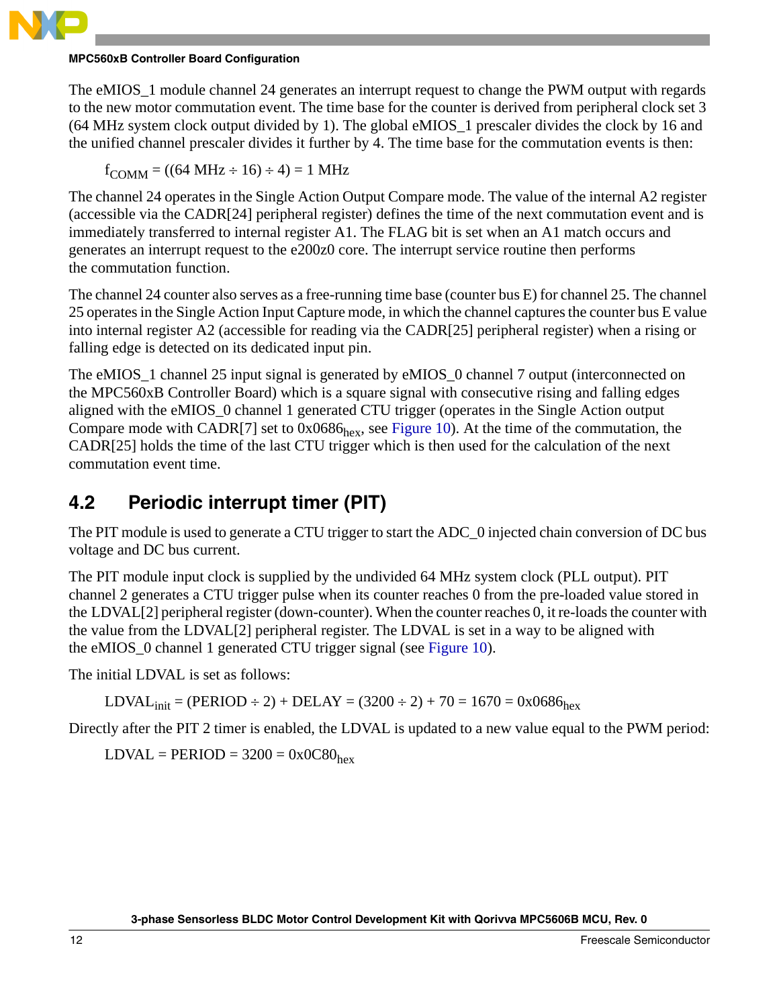

#### **MPC560xB Controller Board Configuration**

The eMIOS\_1 module channel 24 generates an interrupt request to change the PWM output with regards to the new motor commutation event. The time base for the counter is derived from peripheral clock set 3 (64 MHz system clock output divided by 1). The global eMIOS\_1 prescaler divides the clock by 16 and the unified channel prescaler divides it further by 4. The time base for the commutation events is then:

 $f_{\text{COMM}} = ((64 \text{ MHz} \div 16) \div 4) = 1 \text{ MHz}$ 

The channel 24 operates in the Single Action Output Compare mode. The value of the internal A2 register (accessible via the CADR[24] peripheral register) defines the time of the next commutation event and is immediately transferred to internal register A1. The FLAG bit is set when an A1 match occurs and generates an interrupt request to the e200z0 core. The interrupt service routine then performs the commutation function.

The channel 24 counter also serves as a free-running time base (counter bus E) for channel 25. The channel 25 operates in the Single Action Input Capture mode, in which the channel captures the counter bus E value into internal register A2 (accessible for reading via the CADR[25] peripheral register) when a rising or falling edge is detected on its dedicated input pin.

The eMIOS 1 channel 25 input signal is generated by eMIOS 0 channel 7 output (interconnected on the MPC560xB Controller Board) which is a square signal with consecutive rising and falling edges aligned with the eMIOS\_0 channel 1 generated CTU trigger (operates in the Single Action output Compare mode with CADR[7] set to  $0x0686_{hex}$ , see [Figure 10](#page-12-1)). At the time of the commutation, the CADR[25] holds the time of the last CTU trigger which is then used for the calculation of the next commutation event time.

### <span id="page-11-0"></span>**4.2 Periodic interrupt timer (PIT)**

The PIT module is used to generate a CTU trigger to start the ADC 0 injected chain conversion of DC bus voltage and DC bus current.

The PIT module input clock is supplied by the undivided 64 MHz system clock (PLL output). PIT channel 2 generates a CTU trigger pulse when its counter reaches 0 from the pre-loaded value stored in the LDVAL[2] peripheral register (down-counter). When the counter reaches 0, it re-loads the counter with the value from the LDVAL[2] peripheral register. The LDVAL is set in a way to be aligned with the eMIOS\_0 channel 1 generated CTU trigger signal (see [Figure 10](#page-12-1)).

The initial LDVAL is set as follows:

LDVAL<sub>init</sub> = (PERIOD ÷ 2) + DELAY = (3200 ÷ 2) + 70 = 1670 = 0x0686<sub>hex</sub>

Directly after the PIT 2 timer is enabled, the LDVAL is updated to a new value equal to the PWM period:

 $LDVAL = PERIOD = 3200 = 0x0C80_{hex}$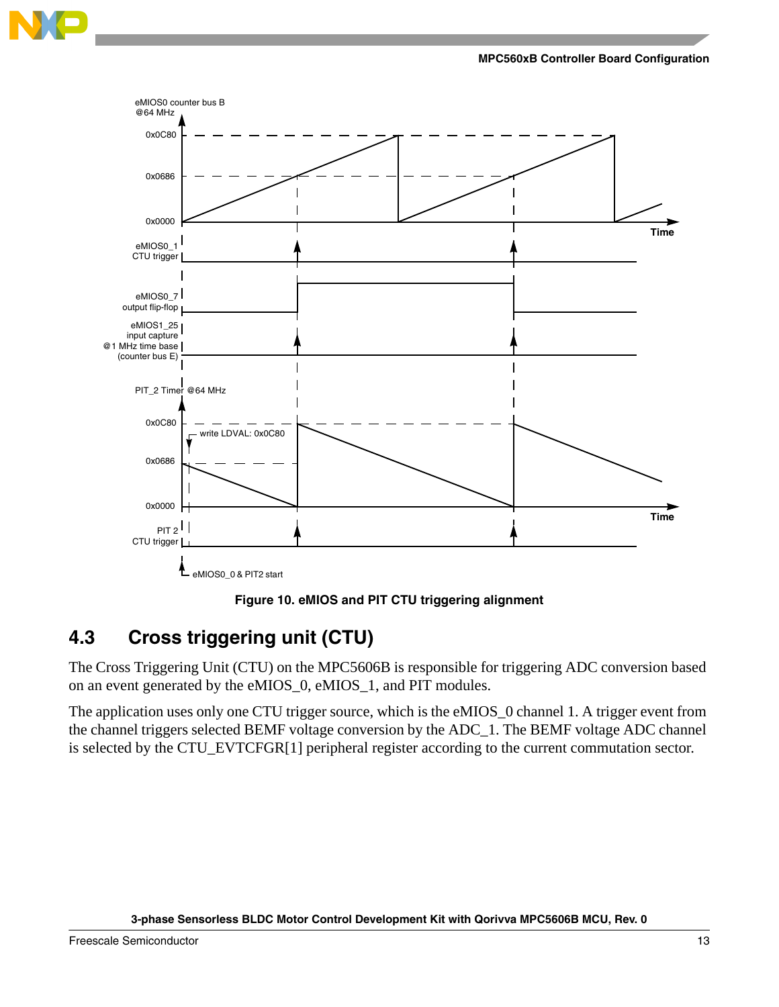



**Figure 10. eMIOS and PIT CTU triggering alignment**

### <span id="page-12-1"></span><span id="page-12-0"></span>**4.3 Cross triggering unit (CTU)**

The Cross Triggering Unit (CTU) on the MPC5606B is responsible for triggering ADC conversion based on an event generated by the eMIOS\_0, eMIOS\_1, and PIT modules.

The application uses only one CTU trigger source, which is the eMIOS\_0 channel 1. A trigger event from the channel triggers selected BEMF voltage conversion by the ADC\_1. The BEMF voltage ADC channel is selected by the CTU\_EVTCFGR[1] peripheral register according to the current commutation sector.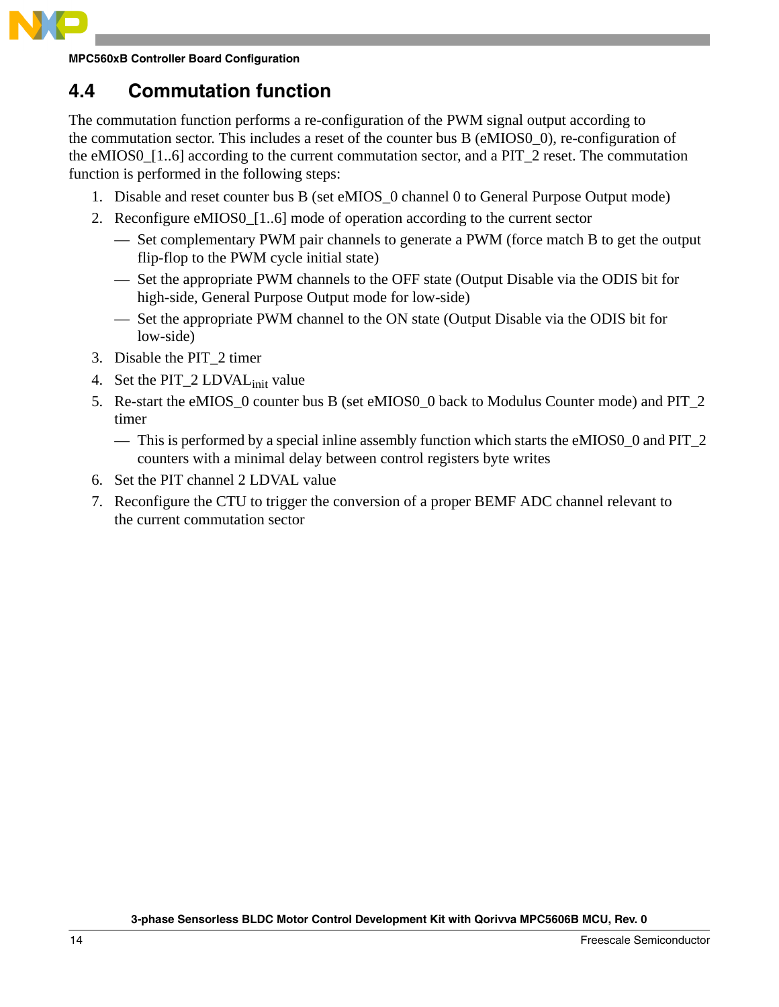

**MPC560xB Controller Board Configuration**

### <span id="page-13-0"></span>**4.4 Commutation function**

The commutation function performs a re-configuration of the PWM signal output according to the commutation sector. This includes a reset of the counter bus B (eMIOS0\_0), re-configuration of the eMIOS0\_[1..6] according to the current commutation sector, and a PIT\_2 reset. The commutation function is performed in the following steps:

- 1. Disable and reset counter bus B (set eMIOS\_0 channel 0 to General Purpose Output mode)
- 2. Reconfigure eMIOS0\_[1..6] mode of operation according to the current sector
	- Set complementary PWM pair channels to generate a PWM (force match B to get the output flip-flop to the PWM cycle initial state)
	- Set the appropriate PWM channels to the OFF state (Output Disable via the ODIS bit for high-side, General Purpose Output mode for low-side)
	- Set the appropriate PWM channel to the ON state (Output Disable via the ODIS bit for low-side)
- 3. Disable the PIT\_2 timer
- 4. Set the PIT\_2 LDVAL<sub>init</sub> value
- 5. Re-start the eMIOS\_0 counter bus B (set eMIOS0\_0 back to Modulus Counter mode) and PIT\_2 timer
	- This is performed by a special inline assembly function which starts the eMIOS0<sub>\_0</sub> and PIT<sub>\_2</sub> counters with a minimal delay between control registers byte writes
- 6. Set the PIT channel 2 LDVAL value
- 7. Reconfigure the CTU to trigger the conversion of a proper BEMF ADC channel relevant to the current commutation sector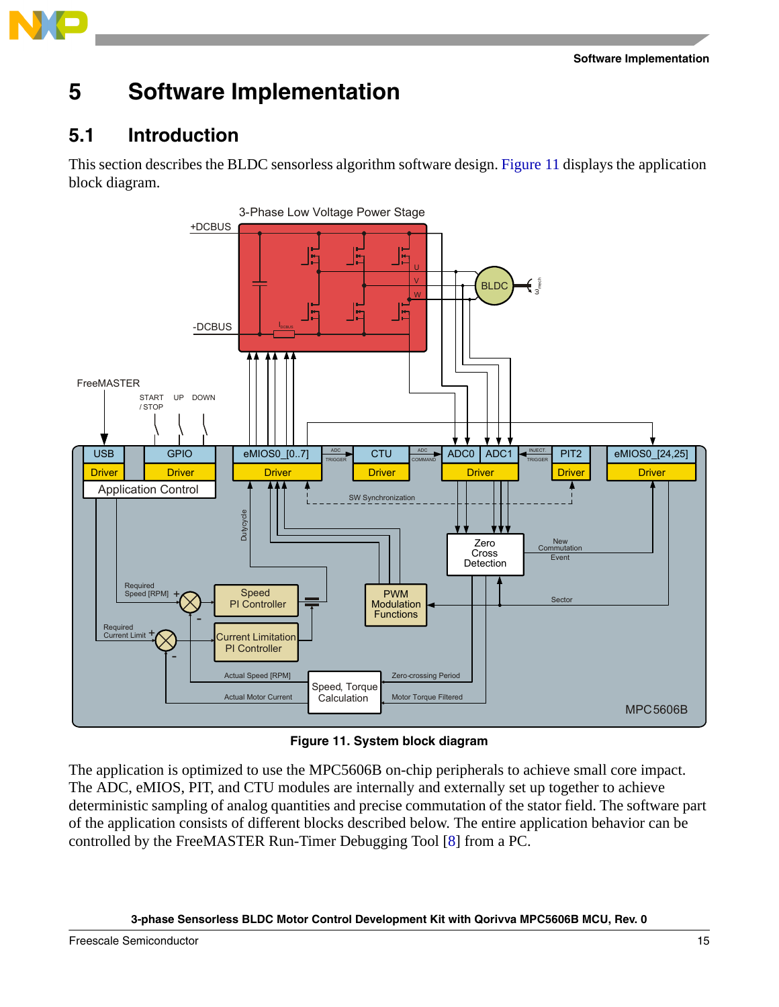

### <span id="page-14-1"></span><span id="page-14-0"></span>**5.1 Introduction**

This section describes the BLDC sensorless algorithm software design. [Figure 11](#page-14-2) displays the application block diagram.



**Figure 11. System block diagram**

<span id="page-14-2"></span>The application is optimized to use the MPC5606B on-chip peripherals to achieve small core impact. The ADC, eMIOS, PIT, and CTU modules are internally and externally set up together to achieve deterministic sampling of analog quantities and precise commutation of the stator field. The software part of the application consists of different blocks described below. The entire application behavior can be controlled by the FreeMASTER Run-Timer Debugging Tool [\[8](#page-26-2)] from a PC.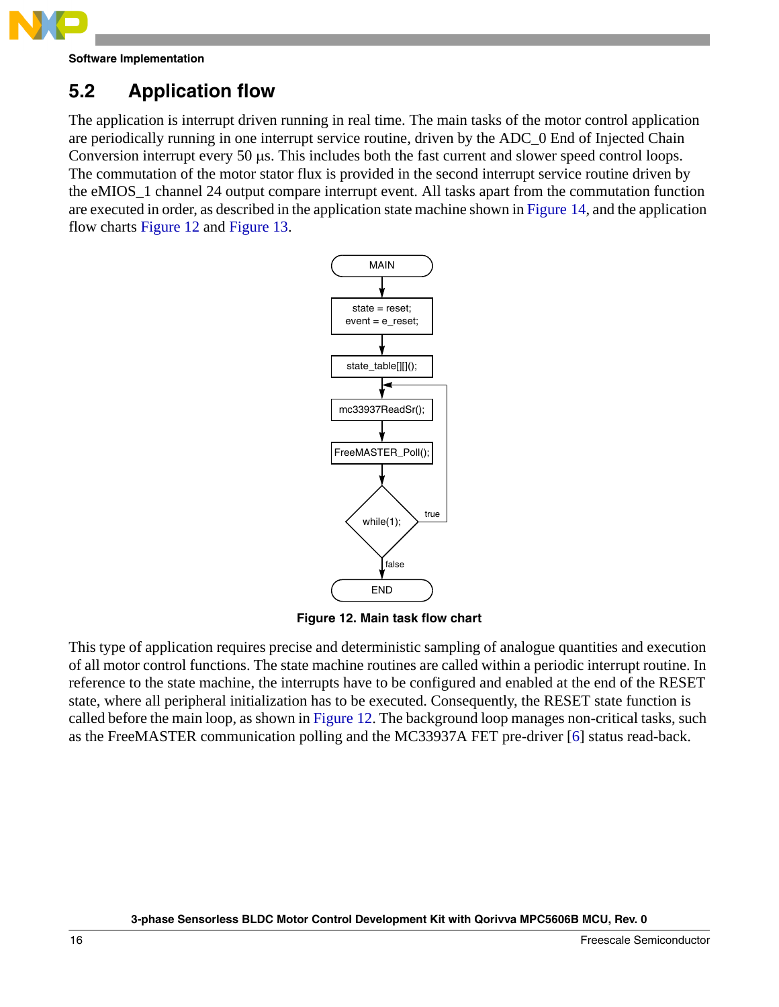

### <span id="page-15-0"></span>**5.2 Application flow**

The application is interrupt driven running in real time. The main tasks of the motor control application are periodically running in one interrupt service routine, driven by the ADC\_0 End of Injected Chain Conversion interrupt every 50  $\mu$ s. This includes both the fast current and slower speed control loops. The commutation of the motor stator flux is provided in the second interrupt service routine driven by the eMIOS\_1 channel 24 output compare interrupt event. All tasks apart from the commutation function are executed in order, as described in the application state machine shown in [Figure 14,](#page-19-0) and the application flow charts [Figure 12](#page-15-1) and [Figure 13.](#page-16-1)



**Figure 12. Main task flow chart**

<span id="page-15-1"></span>This type of application requires precise and deterministic sampling of analogue quantities and execution of all motor control functions. The state machine routines are called within a periodic interrupt routine. In reference to the state machine, the interrupts have to be configured and enabled at the end of the RESET state, where all peripheral initialization has to be executed. Consequently, the RESET state function is called before the main loop, as shown in [Figure 12.](#page-15-1) The background loop manages non-critical tasks, such as the FreeMASTER communication polling and the MC33937A FET pre-driver [[6\]](#page-26-7) status read-back.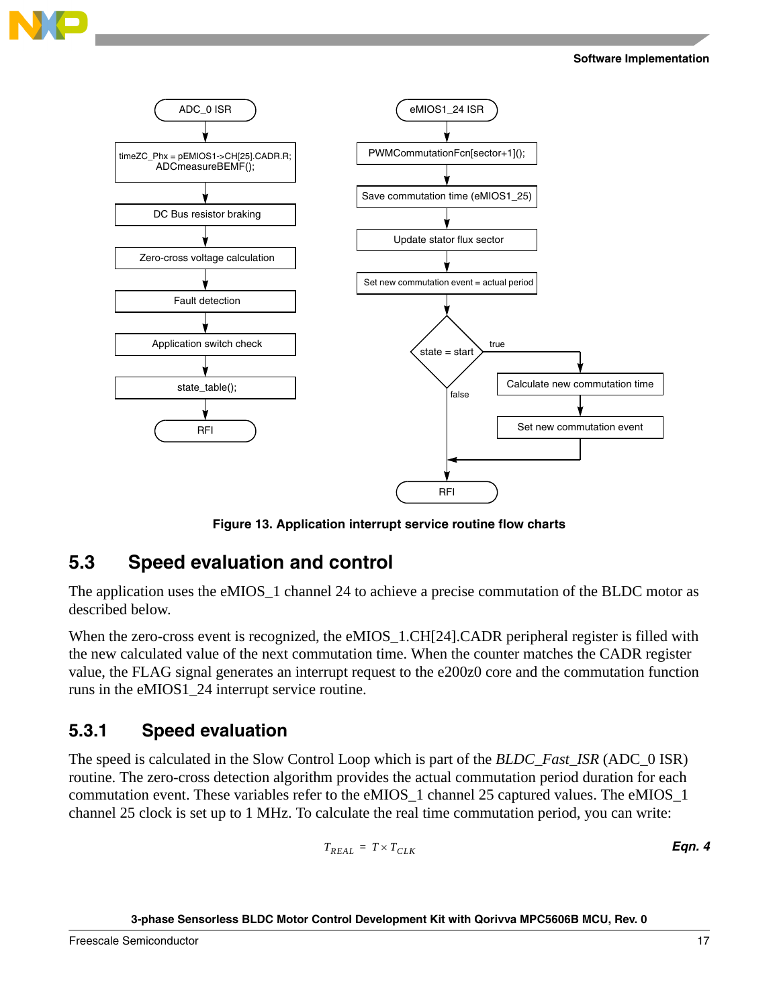



**Figure 13. Application interrupt service routine flow charts**

#### <span id="page-16-1"></span><span id="page-16-0"></span>**5.3 Speed evaluation and control**

The application uses the eMIOS\_1 channel 24 to achieve a precise commutation of the BLDC motor as described below.

When the zero-cross event is recognized, the eMIOS\_1.CH[24].CADR peripheral register is filled with the new calculated value of the next commutation time. When the counter matches the CADR register value, the FLAG signal generates an interrupt request to the e200z0 core and the commutation function runs in the eMIOS1\_24 interrupt service routine.

#### **5.3.1 Speed evaluation**

The speed is calculated in the Slow Control Loop which is part of the *BLDC\_Fast\_ISR* (ADC\_0 ISR) routine. The zero-cross detection algorithm provides the actual commutation period duration for each commutation event. These variables refer to the eMIOS\_1 channel 25 captured values. The eMIOS\_1 channel 25 clock is set up to 1 MHz. To calculate the real time commutation period, you can write:

*Eqn. 4 TREAL T T CLK* =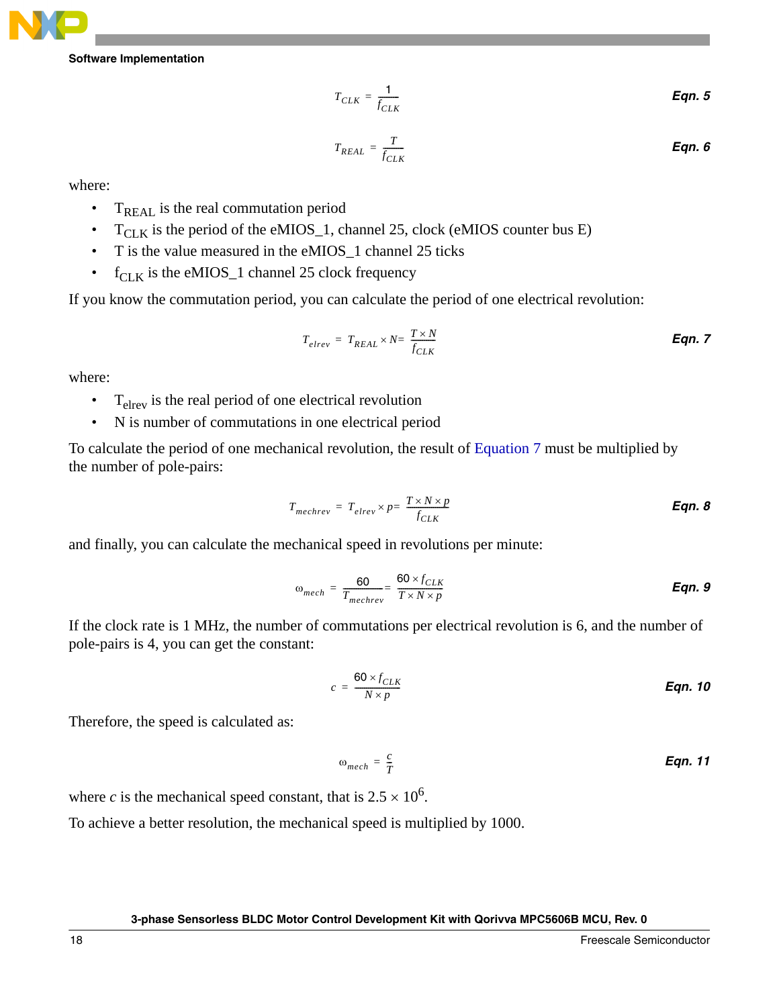

$$
T_{CLK} = \frac{1}{f_{CLK}}
$$
 \t\t\t\t**Eqn. 5**

$$
T_{REAL} = \frac{T}{f_{CLK}}
$$
 \t\t\t\t**Eqn. 6**

where:

- $T_{\text{REAL}}$  is the real commutation period
- $T_{CLK}$  is the period of the eMIOS\_1, channel 25, clock (eMIOS counter bus E)
- T is the value measured in the eMIOS\_1 channel 25 ticks
- $f_{\text{CLK}}$  is the eMIOS\_1 channel 25 clock frequency

<span id="page-17-0"></span>If you know the commutation period, you can calculate the period of one electrical revolution:

$$
T_{elrev} = T_{REAL} \times N = \frac{T \times N}{f_{CLK}}
$$
Eqn. 7

where:

- $T_{\text{elrev}}$  is the real period of one electrical revolution
- N is number of commutations in one electrical period

To calculate the period of one mechanical revolution, the result of [Equation 7](#page-17-0) must be multiplied by the number of pole-pairs:

$$
T_{mechrev} = T_{elrev} \times p = \frac{T \times N \times p}{f_{CLK}}
$$
Eqn. 8

and finally, you can calculate the mechanical speed in revolutions per minute:

$$
\omega_{mech} = \frac{60}{T_{mechrev}} = \frac{60 \times f_{CLK}}{T \times N \times p}
$$
Eqn. 9

If the clock rate is 1 MHz, the number of commutations per electrical revolution is 6, and the number of pole-pairs is 4, you can get the constant:

*Eqn. 10 <sup>c</sup>* <sup>60</sup> *<sup>f</sup> CLK N p* <sup>=</sup> -----------------------

Therefore, the speed is calculated as:

$$
\omega_{mech} = \frac{c}{T}
$$
 \t\t\t**Eqn. 11**

where *c* is the mechanical speed constant, that is  $2.5 \times 10^6$ .

To achieve a better resolution, the mechanical speed is multiplied by 1000.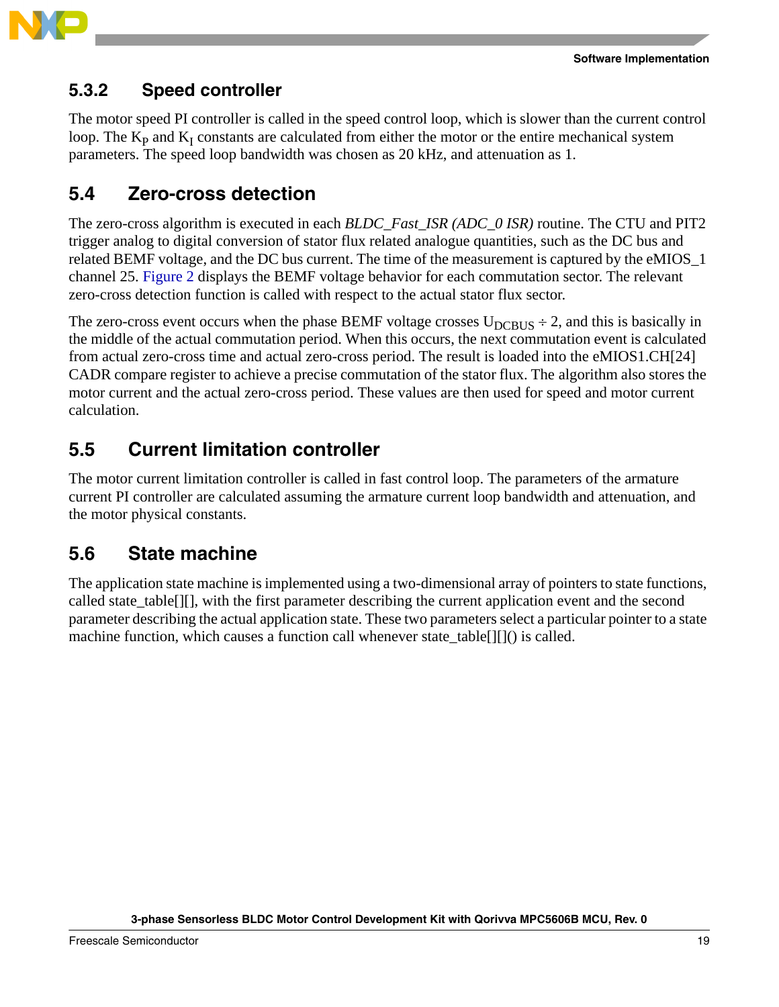

### **5.3.2 Speed controller**

The motor speed PI controller is called in the speed control loop, which is slower than the current control loop. The  $K_p$  and  $K_I$  constants are calculated from either the motor or the entire mechanical system parameters. The speed loop bandwidth was chosen as 20 kHz, and attenuation as 1.

### <span id="page-18-0"></span>**5.4 Zero-cross detection**

The zero-cross algorithm is executed in each *BLDC\_Fast\_ISR (ADC\_0 ISR)* routine. The CTU and PIT2 trigger analog to digital conversion of stator flux related analogue quantities, such as the DC bus and related BEMF voltage, and the DC bus current. The time of the measurement is captured by the eMIOS\_1 channel 25. [Figure 2](#page-2-2) displays the BEMF voltage behavior for each commutation sector. The relevant zero-cross detection function is called with respect to the actual stator flux sector.

The zero-cross event occurs when the phase BEMF voltage crosses  $U_{DCBUS} \div 2$ , and this is basically in the middle of the actual commutation period. When this occurs, the next commutation event is calculated from actual zero-cross time and actual zero-cross period. The result is loaded into the eMIOS1.CH[24] CADR compare register to achieve a precise commutation of the stator flux. The algorithm also stores the motor current and the actual zero-cross period. These values are then used for speed and motor current calculation.

### <span id="page-18-1"></span>**5.5 Current limitation controller**

The motor current limitation controller is called in fast control loop. The parameters of the armature current PI controller are calculated assuming the armature current loop bandwidth and attenuation, and the motor physical constants.

### <span id="page-18-2"></span>**5.6 State machine**

The application state machine is implemented using a two-dimensional array of pointers to state functions, called state\_table[][], with the first parameter describing the current application event and the second parameter describing the actual application state. These two parameters select a particular pointer to a state machine function, which causes a function call whenever state  $\text{table}[\Pi]()$  is called.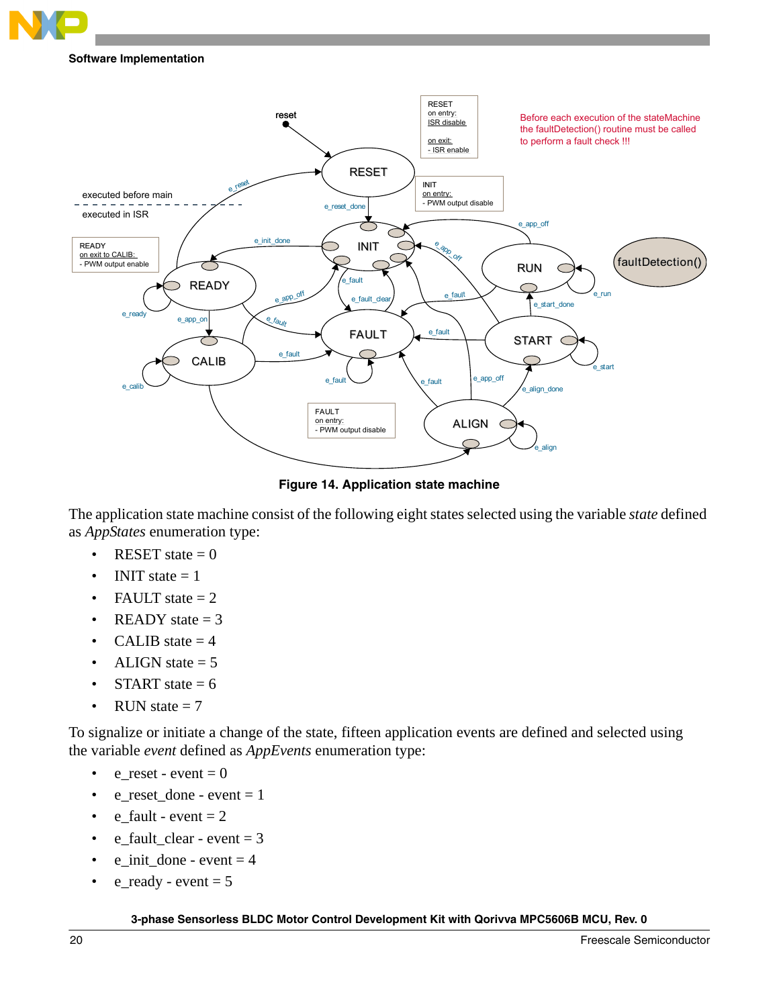



**Figure 14. Application state machine**

<span id="page-19-0"></span>The application state machine consist of the following eight states selected using the variable *state* defined as *AppStates* enumeration type:

- RESET state  $= 0$
- INIT state  $= 1$
- FAULT state  $= 2$
- READY state  $= 3$
- CALIB state  $= 4$
- ALIGN state  $= 5$
- START state  $= 6$
- RUN state  $= 7$

To signalize or initiate a change of the state, fifteen application events are defined and selected using the variable *event* defined as *AppEvents* enumeration type:

- $e$ \_reset event = 0
- e\_reset\_done event  $= 1$
- $e_{\text{fall}} event = 2$
- e\_fault\_clear event  $= 3$
- $e$ \_init\_done event = 4
- e\_ready event  $= 5$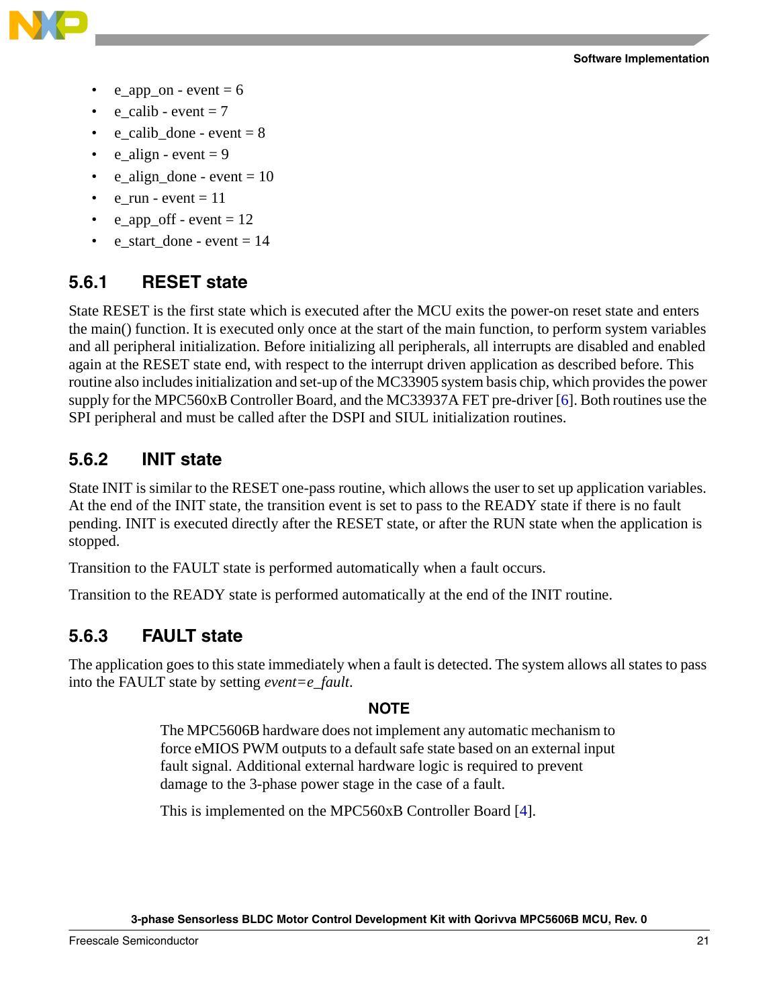

- $e$ <sub>-app\_on</sub> event = 6
- e calib event  $= 7$
- e calib done event  $= 8$
- e align event  $= 9$
- e align done event  $= 10$
- e run event  $= 11$
- e app off event  $= 12$
- e\_start\_done event =  $14$

#### **5.6.1 RESET state**

State RESET is the first state which is executed after the MCU exits the power-on reset state and enters the main() function. It is executed only once at the start of the main function, to perform system variables and all peripheral initialization. Before initializing all peripherals, all interrupts are disabled and enabled again at the RESET state end, with respect to the interrupt driven application as described before. This routine also includes initialization and set-up of the MC33905 system basis chip, which provides the power supply for the MPC560xB Controller Board, and the MC33937A FET pre-driver [\[6](#page-26-7)]. Both routines use the SPI peripheral and must be called after the DSPI and SIUL initialization routines.

#### **5.6.2 INIT state**

State INIT is similar to the RESET one-pass routine, which allows the user to set up application variables. At the end of the INIT state, the transition event is set to pass to the READY state if there is no fault pending. INIT is executed directly after the RESET state, or after the RUN state when the application is stopped.

Transition to the FAULT state is performed automatically when a fault occurs.

Transition to the READY state is performed automatically at the end of the INIT routine.

#### **5.6.3 FAULT state**

The application goes to this state immediately when a fault is detected. The system allows all states to pass into the FAULT state by setting *event=e\_fault*.

#### **NOTE**

The MPC5606B hardware does not implement any automatic mechanism to force eMIOS PWM outputs to a default safe state based on an external input fault signal. Additional external hardware logic is required to prevent damage to the 3-phase power stage in the case of a fault.

This is implemented on the MPC560xB Controller Board [[4\]](#page-26-4).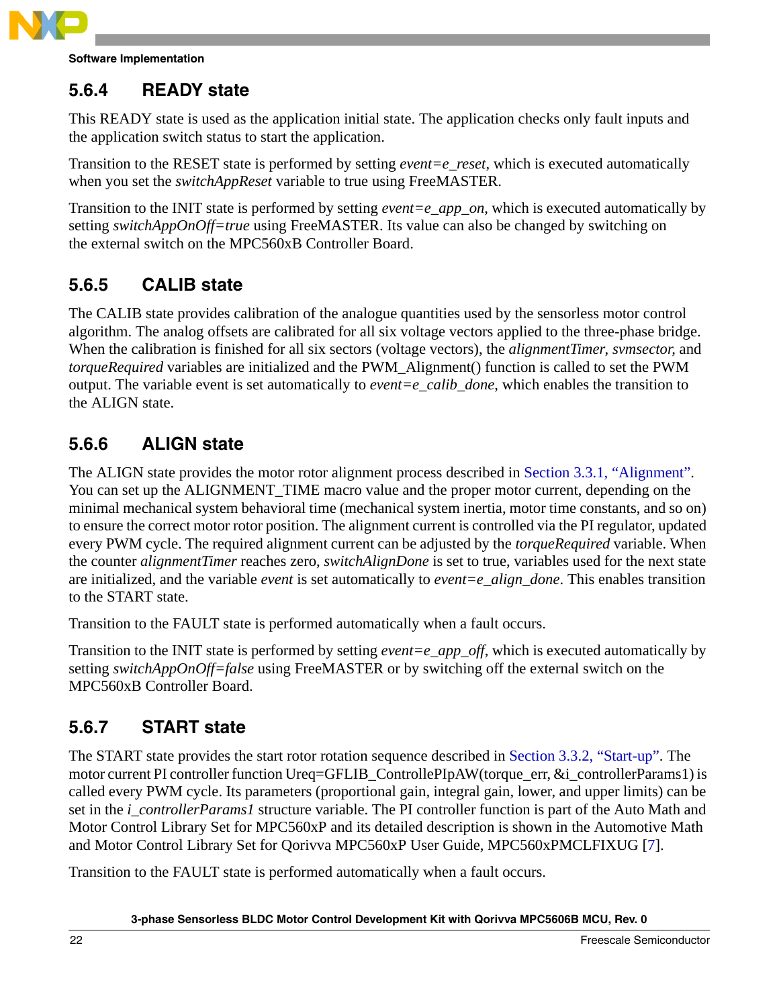

#### **5.6.4 READY state**

This READY state is used as the application initial state. The application checks only fault inputs and the application switch status to start the application.

Transition to the RESET state is performed by setting *event=e\_reset*, which is executed automatically when you set the *switchAppReset* variable to true using FreeMASTER.

Transition to the INIT state is performed by setting *event=e\_app\_on*, which is executed automatically by setting *switchAppOnOff=true* using FreeMASTER. Its value can also be changed by switching on the external switch on the MPC560xB Controller Board.

### **5.6.5 CALIB state**

The CALIB state provides calibration of the analogue quantities used by the sensorless motor control algorithm. The analog offsets are calibrated for all six voltage vectors applied to the three-phase bridge. When the calibration is finished for all six sectors (voltage vectors), the *alignmentTimer*, *svmsector,* and *torqueRequired* variables are initialized and the PWM\_Alignment() function is called to set the PWM output. The variable event is set automatically to *event=e\_calib\_done*, which enables the transition to the ALIGN state.

#### **5.6.6 ALIGN state**

The ALIGN state provides the motor rotor alignment process described in [Section 3.3.1, "Alignment"](#page-6-2). You can set up the ALIGNMENT\_TIME macro value and the proper motor current, depending on the minimal mechanical system behavioral time (mechanical system inertia, motor time constants, and so on) to ensure the correct motor rotor position. The alignment current is controlled via the PI regulator, updated every PWM cycle. The required alignment current can be adjusted by the *torqueRequired* variable. When the counter *alignmentTimer* reaches zero, *switchAlignDone* is set to true, variables used for the next state are initialized, and the variable *event* is set automatically to *event=e\_align\_done*. This enables transition to the START state.

Transition to the FAULT state is performed automatically when a fault occurs.

Transition to the INIT state is performed by setting *event=e\_app\_off*, which is executed automatically by setting *switchAppOnOff=false* using FreeMASTER or by switching off the external switch on the MPC560xB Controller Board.

#### **5.6.7 START state**

The START state provides the start rotor rotation sequence described in [Section 3.3.2, "Start-up"](#page-7-0). The motor current PI controller function Ureq=GFLIB\_ControllePIpAW(torque\_err, &i\_controllerParams1) is called every PWM cycle. Its parameters (proportional gain, integral gain, lower, and upper limits) can be set in the *i\_controllerParams1* structure variable. The PI controller function is part of the Auto Math and Motor Control Library Set for MPC560xP and its detailed description is shown in the Automotive Math and Motor Control Library Set for Qorivva MPC560xP User Guide, MPC560xPMCLFIXUG [\[7](#page-26-8)].

Transition to the FAULT state is performed automatically when a fault occurs.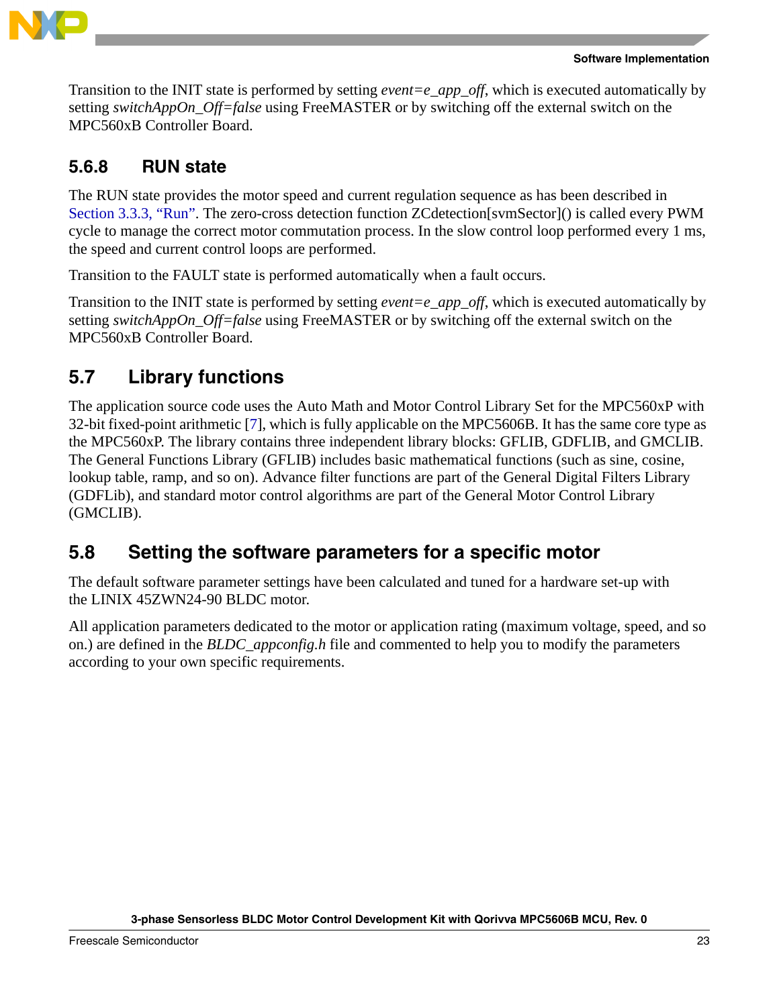

Transition to the INIT state is performed by setting *event=e\_app\_off*, which is executed automatically by setting *switchAppOn\_Off=false* using FreeMASTER or by switching off the external switch on the MPC560xB Controller Board.

#### **5.6.8 RUN state**

The RUN state provides the motor speed and current regulation sequence as has been described in [Section 3.3.3, "Run".](#page-7-1) The zero-cross detection function ZCdetection[svmSector]() is called every PWM cycle to manage the correct motor commutation process. In the slow control loop performed every 1 ms, the speed and current control loops are performed.

Transition to the FAULT state is performed automatically when a fault occurs.

Transition to the INIT state is performed by setting *event=e\_app\_off*, which is executed automatically by setting *switchAppOn\_Off=false* using FreeMASTER or by switching off the external switch on the MPC560xB Controller Board.

### <span id="page-22-0"></span>**5.7 Library functions**

The application source code uses the Auto Math and Motor Control Library Set for the MPC560xP with 32-bit fixed-point arithmetic [\[7](#page-26-8)], which is fully applicable on the MPC5606B. It has the same core type as the MPC560xP. The library contains three independent library blocks: GFLIB, GDFLIB, and GMCLIB. The General Functions Library (GFLIB) includes basic mathematical functions (such as sine, cosine, lookup table, ramp, and so on). Advance filter functions are part of the General Digital Filters Library (GDFLib), and standard motor control algorithms are part of the General Motor Control Library (GMCLIB).

### <span id="page-22-1"></span>**5.8 Setting the software parameters for a specific motor**

The default software parameter settings have been calculated and tuned for a hardware set-up with the LINIX 45ZWN24-90 BLDC motor.

All application parameters dedicated to the motor or application rating (maximum voltage, speed, and so on.) are defined in the *BLDC\_appconfig.h* file and commented to help you to modify the parameters according to your own specific requirements.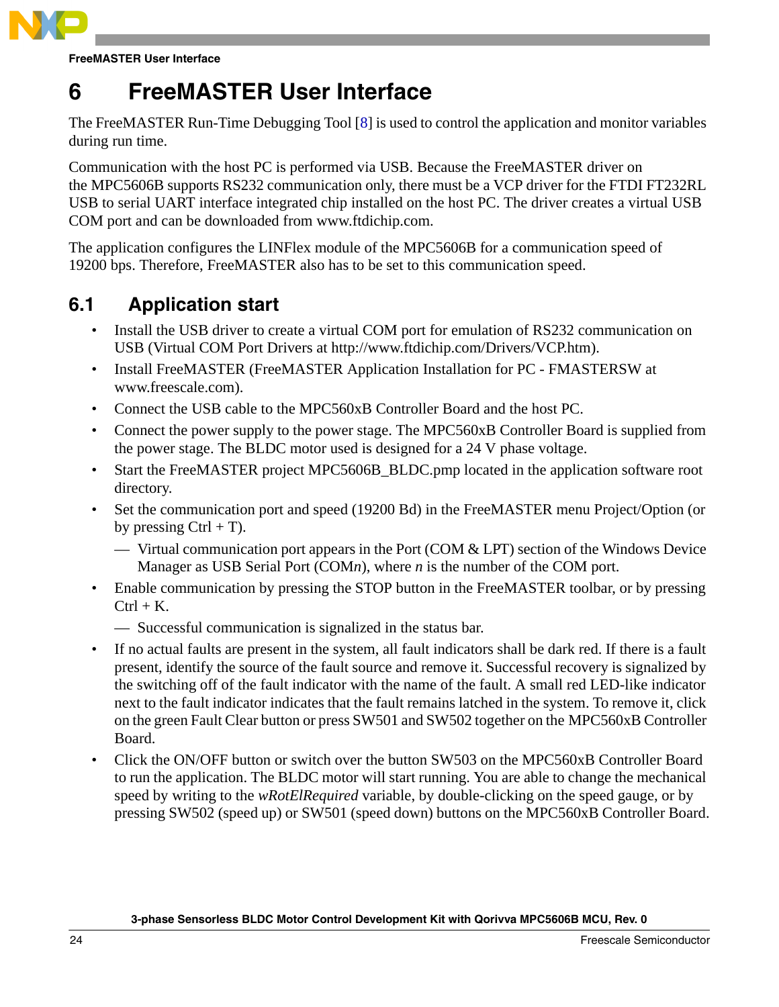

**FreeMASTER User Interface**

# <span id="page-23-0"></span>**6 FreeMASTER User Interface**

The FreeMASTER Run-Time Debugging Tool [\[8](#page-26-2)] is used to control the application and monitor variables during run time.

Communication with the host PC is performed via USB. Because the FreeMASTER driver on [the MPC5606B supports RS232 communication only, there must be a VCP driver for the FTDI FT232RL](http://www.ftdichip.com)  USB to serial UART interface integrated chip installed on the host PC. The driver creates a virtual USB COM port and can be downloaded from www.ftdichip.com.

The application configures the LINFlex module of the MPC5606B for a communication speed of 19200 bps. Therefore, FreeMASTER also has to be set to this communication speed.

### <span id="page-23-1"></span>**6.1 Application start**

- Install the USB driver to create a virtual COM port for emulation of RS232 communication on USB (Virtual COM Port Drivers at http://www.ftdichip.com/Drivers/VCP.htm).
- [Install FreeMASTER \(FreeMASTER Application Installation for PC FMASTERSW at](http://www.freescale.om)  www.freescale.com).
- Connect the USB cable to the MPC560xB Controller Board and the host PC.
- Connect the power supply to the power stage. The MPC560xB Controller Board is supplied from the power stage. The BLDC motor used is designed for a 24 V phase voltage.
- Start the FreeMASTER project MPC5606B\_BLDC.pmp located in the application software root directory.
- Set the communication port and speed (19200 Bd) in the FreeMASTER menu Project/Option (or by pressing  $Ctrl + T$ ).
	- Virtual communication port appears in the Port (COM  $& LPT$ ) section of the Windows Device Manager as USB Serial Port (COM*n*), where *n* is the number of the COM port.
- Enable communication by pressing the STOP button in the FreeMASTER toolbar, or by pressing  $Ctrl + K.$

— Successful communication is signalized in the status bar.

- If no actual faults are present in the system, all fault indicators shall be dark red. If there is a fault present, identify the source of the fault source and remove it. Successful recovery is signalized by the switching off of the fault indicator with the name of the fault. A small red LED-like indicator next to the fault indicator indicates that the fault remains latched in the system. To remove it, click on the green Fault Clear button or press SW501 and SW502 together on the MPC560xB Controller Board.
- Click the ON/OFF button or switch over the button SW503 on the MPC560xB Controller Board to run the application. The BLDC motor will start running. You are able to change the mechanical speed by writing to the *wRotElRequired* variable, by double-clicking on the speed gauge, or by pressing SW502 (speed up) or SW501 (speed down) buttons on the MPC560xB Controller Board.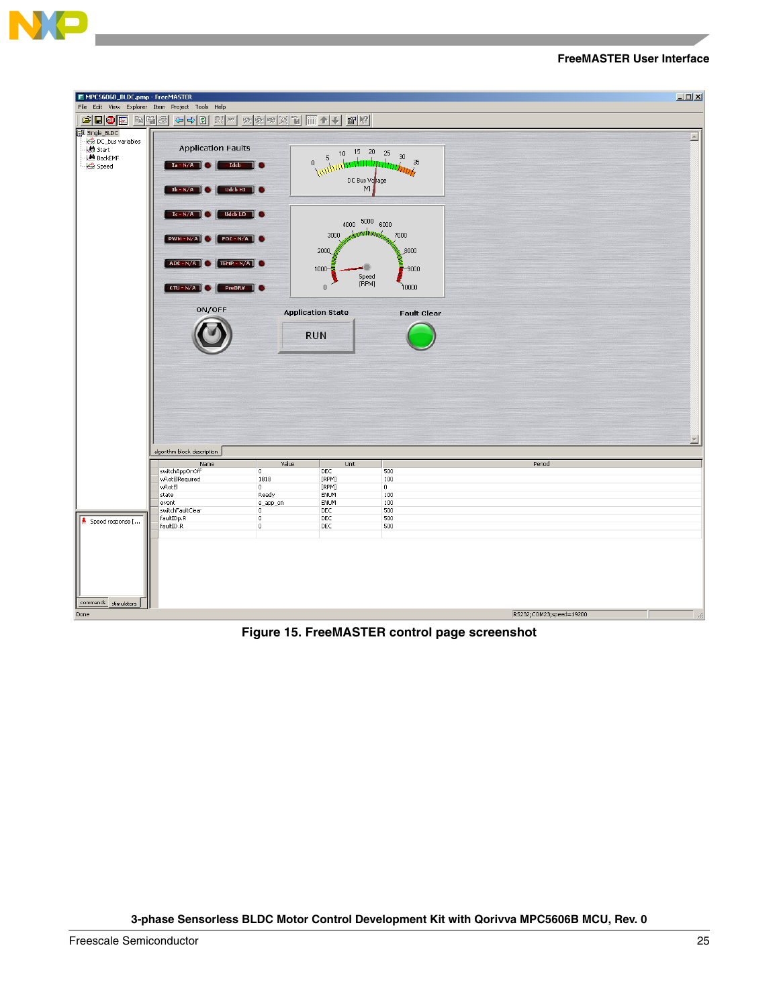

#### **FreeMASTER User Interface**

| F MPC5606B_BLDC.pmp - FreeMASTER                            |                                                                                                                                           |                                                           |                                                                                                                   |                                            |                         | $\Box$                   |
|-------------------------------------------------------------|-------------------------------------------------------------------------------------------------------------------------------------------|-----------------------------------------------------------|-------------------------------------------------------------------------------------------------------------------|--------------------------------------------|-------------------------|--------------------------|
|                                                             | File Edit View Explorer Item Project Tools Help                                                                                           |                                                           |                                                                                                                   |                                            |                         |                          |
| $\mathcal{C}$ . $\blacksquare$<br>$\mathbb{F}_{\mathbb{E}}$ | $\left \left \left \left \Phi\right \right \right \mathbb{E}\right \mathbb{E}\left \left \left \mathbb{H}\right \right \right $<br>嗋<br>5 | <b>22224 FORD</b>                                         |                                                                                                                   |                                            |                         |                          |
| Single_BLDC<br><b>BackEMF</b><br>- <del>感</del> Speed       | <b>Application Faults</b><br>$Ia - N/A$<br><b>Idcb</b><br>$Ib - N/A$<br>$IC-N/A$ <b>0</b> Udo LO $\bullet$                                | Udcb $HI$ $\Box$                                          | 10<br>5 <sub>1</sub><br><b><i>Important and partirely</i></b><br>DC Bus Votage<br>M<br>$4000\quad 5000\quad 6000$ | 15 20 25<br>30 <sup>°</sup><br>35          |                         | $\overline{\phantom{a}}$ |
|                                                             | $[FOC - N/A]$<br>$PWM-N/A$<br>ADC-N/A TEMP-N/A<br>$ $ CTU - N/A $ $ O $ $                                                                 | <b>PreDRY O</b>                                           | 3000<br>2000<br>$1000 -$<br>Speed<br>[RPM]<br>$\mathbf 0$                                                         | 7000<br>,8000<br>$-9000$<br>10000          |                         |                          |
|                                                             | ON/OFF                                                                                                                                    |                                                           | <b>Application State</b><br><b>RUN</b>                                                                            | <b>Fault Clear</b>                         |                         | $\vert$                  |
|                                                             | algorithm block description                                                                                                               |                                                           |                                                                                                                   |                                            |                         |                          |
|                                                             | Name<br>switchAppOnOff<br>wRotElRequired<br>wRotEl<br>state<br>event                                                                      | Value<br>0<br>1818<br>$\overline{0}$<br>Ready<br>e_app_on | Unit<br>DEC.<br>[RPM]<br>[RPM]<br><b>ENUM</b><br><b>ENUM</b>                                                      | 500<br>100<br>$\overline{0}$<br>100<br>100 | Period                  |                          |
| $\clubsuit$ Speed response [                                | switchFaultClear<br>faultIDp.R<br>faultID.R                                                                                               | $\mathbf 0$<br>$\mathbf 0$<br>$\mathbf 0$                 | DEC<br>DEC<br>DEC                                                                                                 | 500<br>500<br>500                          |                         |                          |
| commands stimulators                                        |                                                                                                                                           |                                                           |                                                                                                                   |                                            |                         |                          |
| Done                                                        |                                                                                                                                           |                                                           |                                                                                                                   |                                            | R5232;COM23;speed=19200 |                          |

**Figure 15. FreeMASTER control page screenshot**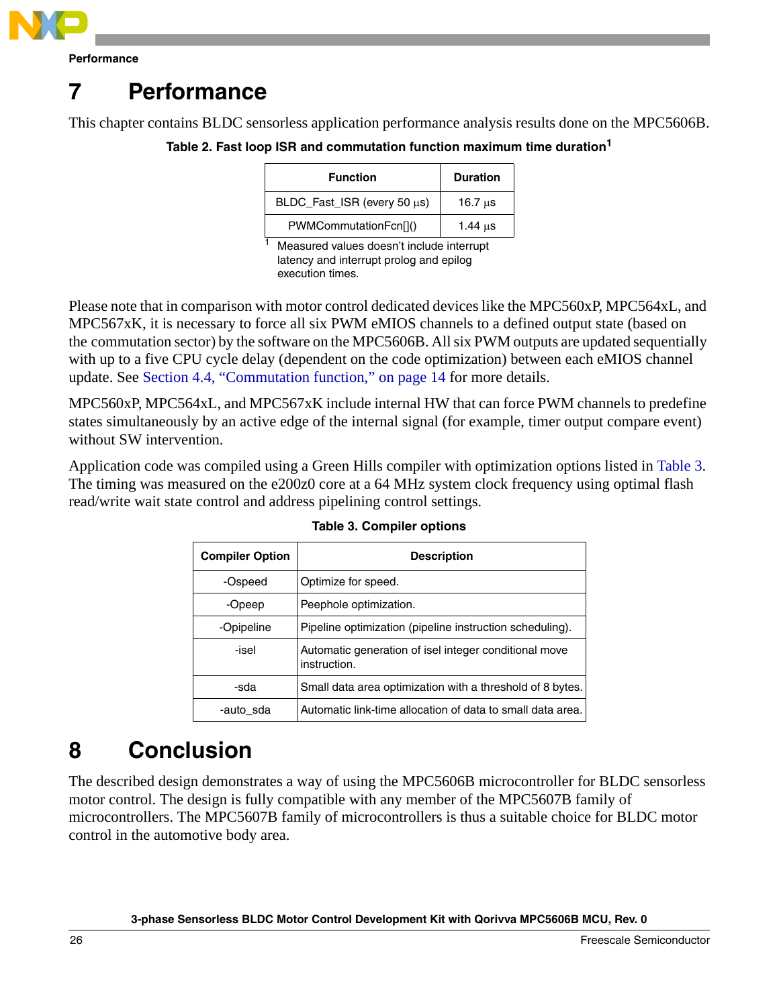

**Performance**

# <span id="page-25-0"></span>**7 Performance**

This chapter contains BLDC sensorless application performance analysis results done on the MPC5606B.

| <b>Function</b>                                                             | <b>Duration</b>      |
|-----------------------------------------------------------------------------|----------------------|
| BLDC_Fast_ISR (every 50 µs)                                                 | 16.7 us              |
| PWMCommutationFcn[1()                                                       | $1.44 \text{ }\mu s$ |
| الأصاد ووودت للمسار المراجل المسارية الملاحدين والمسارية والمساري والمستحدة |                      |

**Table 2. Fast loop ISR and commutation function maximum time duration<sup>1</sup>**

Measured values doesn't include interrupt latency and interrupt prolog and epilog execution times.

Please note that in comparison with motor control dedicated devices like the MPC560xP, MPC564xL, and MPC567xK, it is necessary to force all six PWM eMIOS channels to a defined output state (based on the commutation sector) by the software on the MPC5606B. All six PWM outputs are updated sequentially with up to a five CPU cycle delay (dependent on the code optimization) between each eMIOS channel update. See [Section 4.4, "Commutation function," on page 14](#page-13-0) for more details.

MPC560xP, MPC564xL, and MPC567xK include internal HW that can force PWM channels to predefine states simultaneously by an active edge of the internal signal (for example, timer output compare event) without SW intervention.

<span id="page-25-2"></span>Application code was compiled using a Green Hills compiler with optimization options listed in [Table 3](#page-25-2). The timing was measured on the e200z0 core at a 64 MHz system clock frequency using optimal flash read/write wait state control and address pipelining control settings.

| <b>Compiler Option</b> | <b>Description</b>                                                    |
|------------------------|-----------------------------------------------------------------------|
| -Ospeed                | Optimize for speed.                                                   |
| -Opeep                 | Peephole optimization.                                                |
| -Opipeline             | Pipeline optimization (pipeline instruction scheduling).              |
| -isel                  | Automatic generation of isel integer conditional move<br>instruction. |
| -sda                   | Small data area optimization with a threshold of 8 bytes.             |
| -auto sda              | Automatic link-time allocation of data to small data area.            |

**Table 3. Compiler options**

# <span id="page-25-1"></span>**8 Conclusion**

The described design demonstrates a way of using the MPC5606B microcontroller for BLDC sensorless motor control. The design is fully compatible with any member of the MPC5607B family of microcontrollers. The MPC5607B family of microcontrollers is thus a suitable choice for BLDC motor control in the automotive body area.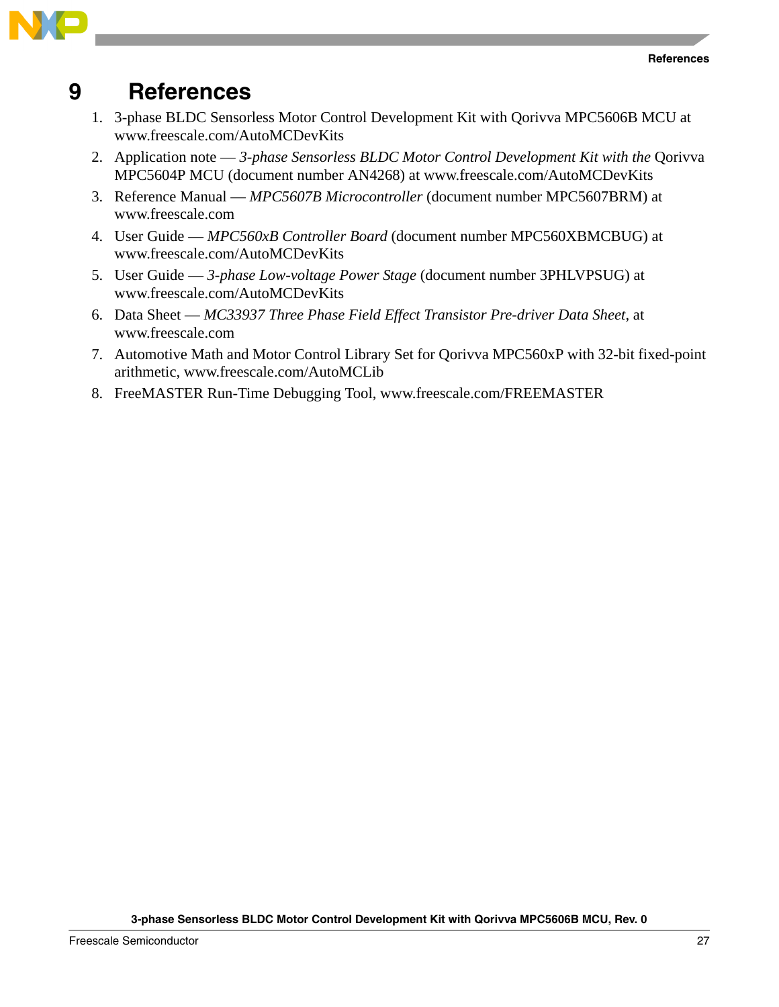



## <span id="page-26-0"></span>**9 References**

- <span id="page-26-6"></span>[1. 3-phase BLDC Sensorless Motor Control Development Kit with Qorivva MPC5606B MCU at](http://www.freescale.com/AutoMCDevKits)  www.freescale.com/AutoMCDevKits
- <span id="page-26-1"></span>2. Application note  $-3$ -phase Sensorless BLDC Motor Control Development Kit with the Qorivva [MPC5604P MCU \(document number AN4268\) at www.freescale.com/AutoMCDevKits](http://www.freescale.com/AutoMCDevKits)
- <span id="page-26-5"></span>3. Reference Manual — *MPC5607B Microcontroller* [\(document number MPC5607BRM\) at](http://www.freescale.com)  [www.freescale.com](http://www.freescale.com)
- <span id="page-26-4"></span>4. User Guide — *MPC560xB Controller Board* [\(document number MPC560XBMCBUG\) at](http://www.freescale.com/AutoMCDevKits)  [www.freescale.com/AutoMCDevKits](http://www.freescale.com/AutoMCDevKits)
- <span id="page-26-3"></span>5. User Guide — *3-phase Low-voltage Power Stage* (document number [3PHLVPSUG\) at](http://www.freescale.com/AutoMCDevKits)  [www.freescale.com/AutoMCDevKits](http://www.freescale.com/AutoMCDevKits)
- <span id="page-26-7"></span>6. Data Sheet — *MC33937 Three Phase Field Effect Transistor Pre-driver Data Sheet*[, at](http://www.freescale.com)  [www.freescale.com](http://www.freescale.com)
- <span id="page-26-8"></span>[7. Automotive Math and Motor Control Library Set for Qorivva MPC560xP with 32-bit fixed-point](http://www.freescale.com/AutoMCLib)  arithmetic, www.freescale.com/AutoMCLib
- <span id="page-26-2"></span>8. [FreeMASTER Run-Time Debugging Tool, www.freescale.com/FREEMASTER](http://www.freescale.com/FREEMASTER)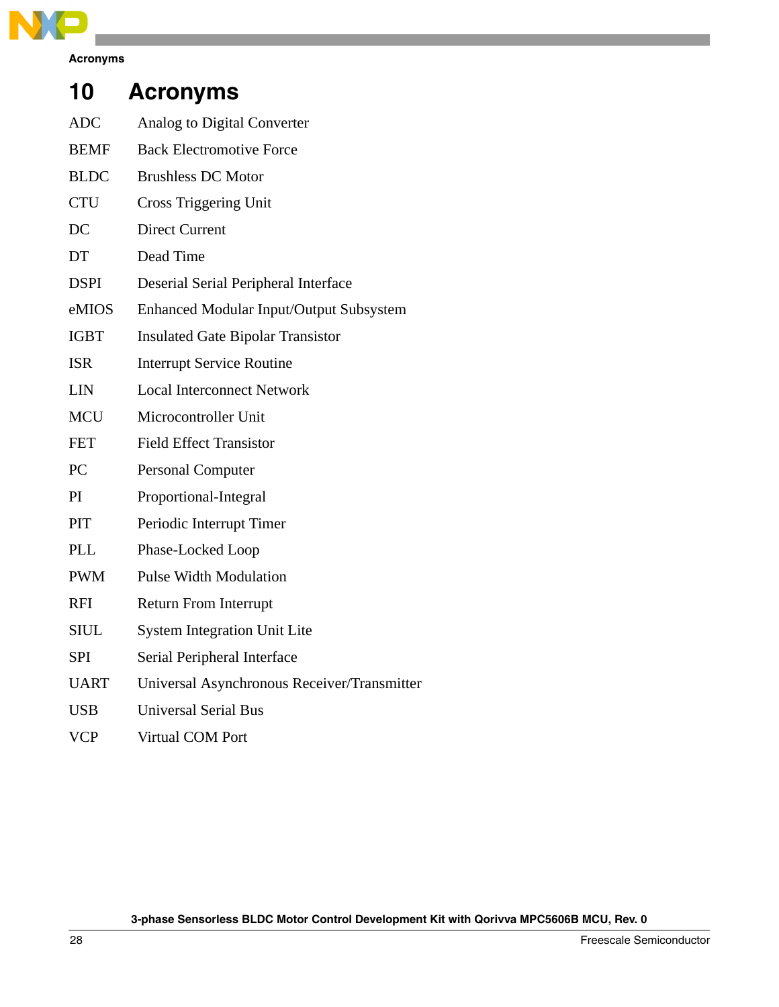**Acronyms**

### <span id="page-27-0"></span>**10 Acronyms**

- ADC Analog to Digital Converter
- BEMF Back Electromotive Force
- BLDC Brushless DC Motor
- CTU Cross Triggering Unit
- DC Direct Current
- DT Dead Time
- DSPI Deserial Serial Peripheral Interface
- eMIOS Enhanced Modular Input/Output Subsystem
- IGBT Insulated Gate Bipolar Transistor
- ISR Interrupt Service Routine
- LIN Local Interconnect Network
- MCU Microcontroller Unit
- FET Field Effect Transistor
- PC Personal Computer
- PI Proportional-Integral
- PIT Periodic Interrupt Timer
- PLL Phase-Locked Loop
- PWM Pulse Width Modulation
- RFI Return From Interrupt
- SIUL System Integration Unit Lite
- SPI Serial Peripheral Interface
- UART Universal Asynchronous Receiver/Transmitter
- USB Universal Serial Bus
- VCP Virtual COM Port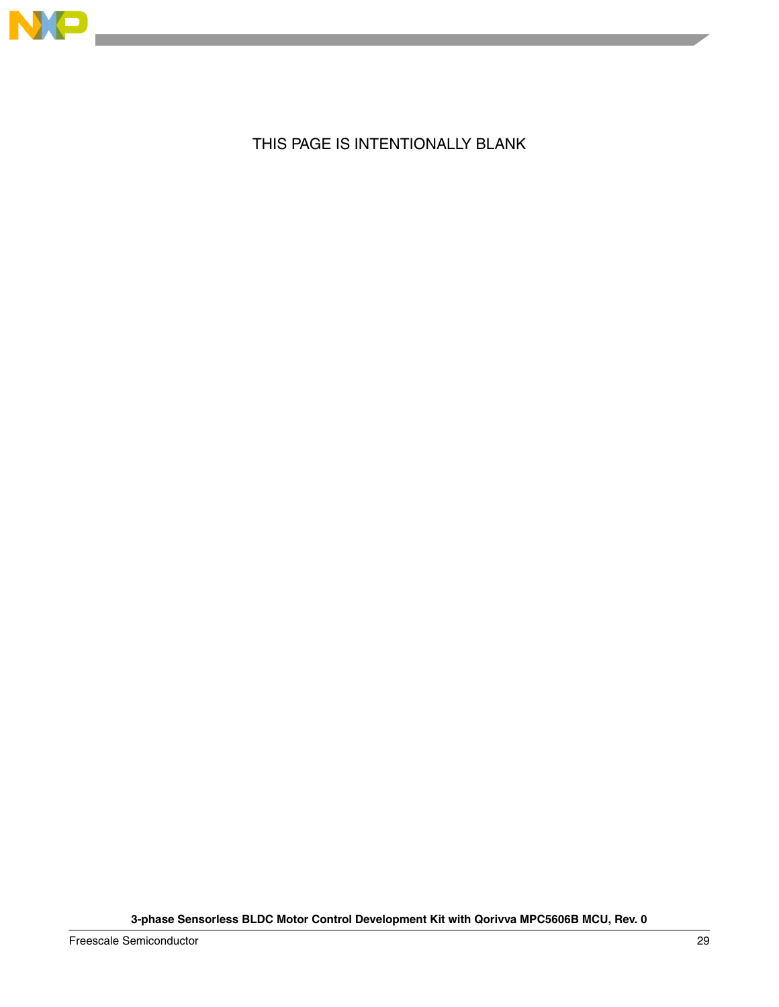

THIS PAGE IS INTENTIONALLY BLANK